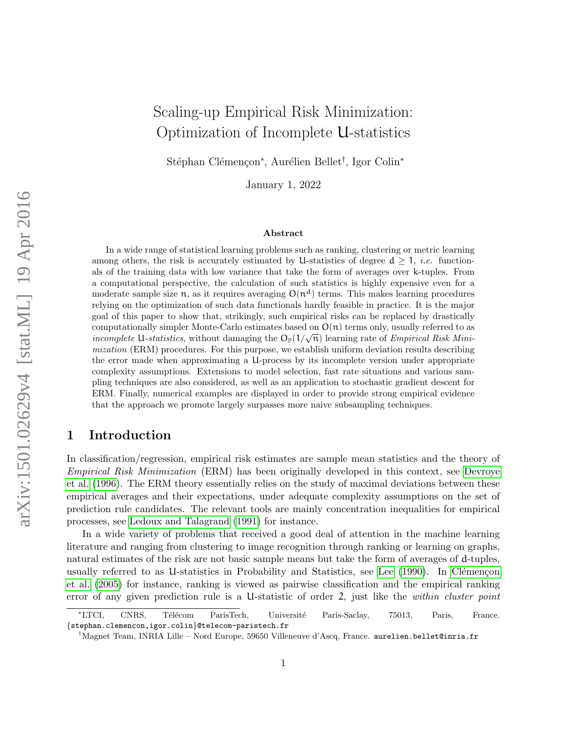# Scaling-up Empirical Risk Minimization: Optimization of Incomplete U-statistics

Stéphan Clémençon<sup>∗</sup>, Aurélien Bellet<sup>†</sup>, Igor Colin<sup>∗</sup>

January 1, 2022

#### Abstract

In a wide range of statistical learning problems such as ranking, clustering or metric learning among others, the risk is accurately estimated by U-statistics of degree  $d > 1$ , *i.e.* functionals of the training data with low variance that take the form of averages over k-tuples. From a computational perspective, the calculation of such statistics is highly expensive even for a moderate sample size  $n$ , as it requires averaging  $O(n^d)$  terms. This makes learning procedures relying on the optimization of such data functionals hardly feasible in practice. It is the major goal of this paper to show that, strikingly, such empirical risks can be replaced by drastically computationally simpler Monte-Carlo estimates based on  $O(n)$  terms only, usually referred to as computationally simpler mome-Carlo estimates based on  $O(n)$  terms only, usually referred to as *incomplete* U-*statistics*, without damaging the  $O_{\mathbb{P}}(1/\sqrt{n})$  learning rate of *Empirical Risk Mini*mization (ERM) procedures. For this purpose, we establish uniform deviation results describing the error made when approximating a U-process by its incomplete version under appropriate complexity assumptions. Extensions to model selection, fast rate situations and various sampling techniques are also considered, as well as an application to stochastic gradient descent for ERM. Finally, numerical examples are displayed in order to provide strong empirical evidence that the approach we promote largely surpasses more naive subsampling techniques.

### 1 Introduction

In classification/regression, empirical risk estimates are sample mean statistics and the theory of Empirical Risk Minimization (ERM) has been originally developed in this context, see [Devroye](#page-32-0) [et al.](#page-32-0) [\(1996\)](#page-32-0). The ERM theory essentially relies on the study of maximal deviations between these empirical averages and their expectations, under adequate complexity assumptions on the set of prediction rule candidates. The relevant tools are mainly concentration inequalities for empirical processes, see [Ledoux and Talagrand](#page-32-1) [\(1991\)](#page-32-1) for instance.

In a wide variety of problems that received a good deal of attention in the machine learning literature and ranging from clustering to image recognition through ranking or learning on graphs, natural estimates of the risk are not basic sample means but take the form of averages of d-tuples, usually referred to as U-statistics in Probability and Statistics, see [Lee](#page-32-2)  $(1990)$ . In Clémençon [et al.](#page-31-0) [\(2005\)](#page-31-0) for instance, ranking is viewed as pairwise classification and the empirical ranking error of any given prediction rule is a U-statistic of order 2, just like the within cluster point

<sup>\*</sup>LTCI, CNRS, Télécom ParisTech, Université Paris-Saclay, 75013, Paris, France. {stephan.clemencon,igor.colin}@telecom-paristech.fr

<sup>†</sup>Magnet Team, INRIA Lille – Nord Europe, 59650 Villeneuve d'Ascq, France. aurelien.bellet@inria.fr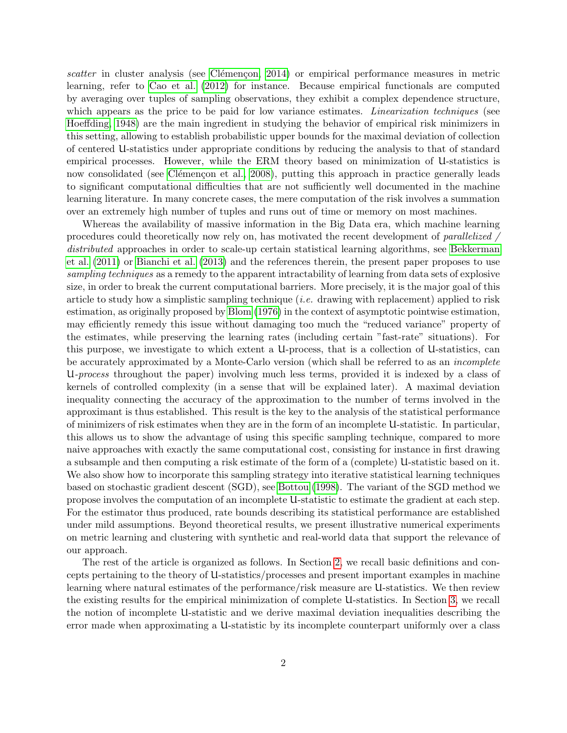scatter in cluster analysis (see Clémençon, 2014) or empirical performance measures in metric learning, refer to [Cao et al.](#page-31-2) [\(2012\)](#page-31-2) for instance. Because empirical functionals are computed by averaging over tuples of sampling observations, they exhibit a complex dependence structure, which appears as the price to be paid for low variance estimates. *Linearization techniques* (see [Hoeffding, 1948\)](#page-32-3) are the main ingredient in studying the behavior of empirical risk minimizers in this setting, allowing to establish probabilistic upper bounds for the maximal deviation of collection of centered U-statistics under appropriate conditions by reducing the analysis to that of standard empirical processes. However, while the ERM theory based on minimization of U-statistics is now consolidated (see Clémençon et al., 2008), putting this approach in practice generally leads to significant computational difficulties that are not sufficiently well documented in the machine learning literature. In many concrete cases, the mere computation of the risk involves a summation over an extremely high number of tuples and runs out of time or memory on most machines.

Whereas the availability of massive information in the Big Data era, which machine learning procedures could theoretically now rely on, has motivated the recent development of parallelized / distributed approaches in order to scale-up certain statistical learning algorithms, see [Bekkerman](#page-30-0) [et al.](#page-30-0) [\(2011\)](#page-30-0) or [Bianchi et al.](#page-31-4) [\(2013\)](#page-31-4) and the references therein, the present paper proposes to use sampling techniques as a remedy to the apparent intractability of learning from data sets of explosive size, in order to break the current computational barriers. More precisely, it is the major goal of this article to study how a simplistic sampling technique (*i.e.* drawing with replacement) applied to risk estimation, as originally proposed by [Blom](#page-31-5) [\(1976\)](#page-31-5) in the context of asymptotic pointwise estimation, may efficiently remedy this issue without damaging too much the "reduced variance" property of the estimates, while preserving the learning rates (including certain "fast-rate" situations). For this purpose, we investigate to which extent a U-process, that is a collection of U-statistics, can be accurately approximated by a Monte-Carlo version (which shall be referred to as an incomplete U-process throughout the paper) involving much less terms, provided it is indexed by a class of kernels of controlled complexity (in a sense that will be explained later). A maximal deviation inequality connecting the accuracy of the approximation to the number of terms involved in the approximant is thus established. This result is the key to the analysis of the statistical performance of minimizers of risk estimates when they are in the form of an incomplete U-statistic. In particular, this allows us to show the advantage of using this specific sampling technique, compared to more naive approaches with exactly the same computational cost, consisting for instance in first drawing a subsample and then computing a risk estimate of the form of a (complete) U-statistic based on it. We also show how to incorporate this sampling strategy into iterative statistical learning techniques based on stochastic gradient descent (SGD), see [Bottou](#page-31-6) [\(1998\)](#page-31-6). The variant of the SGD method we propose involves the computation of an incomplete U-statistic to estimate the gradient at each step. For the estimator thus produced, rate bounds describing its statistical performance are established under mild assumptions. Beyond theoretical results, we present illustrative numerical experiments on metric learning and clustering with synthetic and real-world data that support the relevance of our approach.

The rest of the article is organized as follows. In Section [2,](#page-2-0) we recall basic definitions and concepts pertaining to the theory of U-statistics/processes and present important examples in machine learning where natural estimates of the performance/risk measure are U-statistics. We then review the existing results for the empirical minimization of complete U-statistics. In Section [3,](#page-7-0) we recall the notion of incomplete U-statistic and we derive maximal deviation inequalities describing the error made when approximating a U-statistic by its incomplete counterpart uniformly over a class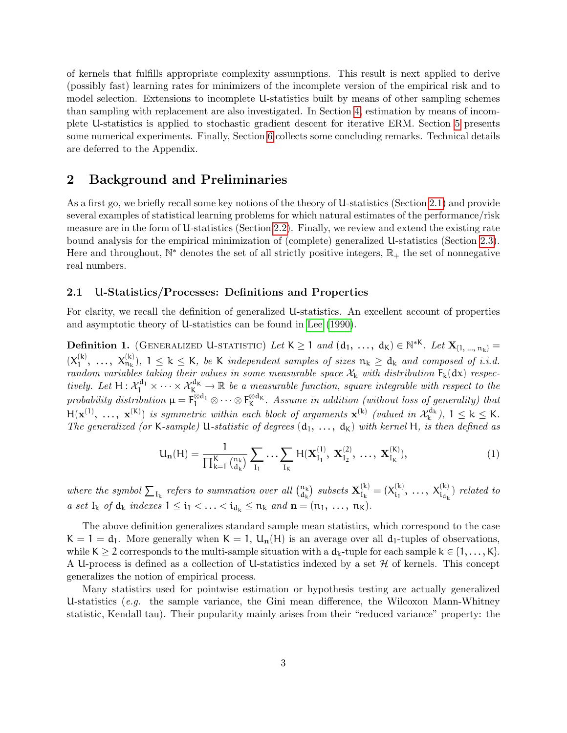of kernels that fulfills appropriate complexity assumptions. This result is next applied to derive (possibly fast) learning rates for minimizers of the incomplete version of the empirical risk and to model selection. Extensions to incomplete U-statistics built by means of other sampling schemes than sampling with replacement are also investigated. In Section [4,](#page-16-0) estimation by means of incomplete U-statistics is applied to stochastic gradient descent for iterative ERM. Section [5](#page-18-0) presents some numerical experiments. Finally, Section [6](#page-23-0) collects some concluding remarks. Technical details are deferred to the Appendix.

### <span id="page-2-0"></span>2 Background and Preliminaries

As a first go, we briefly recall some key notions of the theory of U-statistics (Section [2.1\)](#page-2-1) and provide several examples of statistical learning problems for which natural estimates of the performance/risk measure are in the form of U-statistics (Section [2.2\)](#page-3-0). Finally, we review and extend the existing rate bound analysis for the empirical minimization of (complete) generalized U-statistics (Section [2.3\)](#page-5-0). Here and throughout,  $\mathbb{N}^*$  denotes the set of all strictly positive integers,  $\mathbb{R}_+$  the set of nonnegative real numbers.

### <span id="page-2-1"></span>2.1 U-Statistics/Processes: Definitions and Properties

For clarity, we recall the definition of generalized U-statistics. An excellent account of properties and asymptotic theory of U-statistics can be found in [Lee](#page-32-2) [\(1990\)](#page-32-2).

<span id="page-2-2"></span>Definition 1. (GENERALIZED U-STATISTIC) Let  $K \geq 1$  and  $(d_1, \ldots, d_K) \in \mathbb{N}^{*K}$ . Let  $\mathbf{X}_{\{1, \ldots, n_k\}} =$  $(X_1^{(k)}$  $X_1^{(k)}, \ldots, X_{n_k}^{(k)}$ ,  $1 \leq k \leq k$ , be K independent samples of sizes  $n_k \geq d_k$  and composed of i.i.d. random variables taking their values in some measurable space  $\mathcal{X}_k$  with distribution  $F_k(dx)$  respectively. Let  $H: \mathcal{X}_1^{d_1} \times \cdots \times \mathcal{X}_K^{d_K} \to \mathbb{R}$  be a measurable function, square integrable with respect to the probability distribution  $\mu = F_1^{\otimes d_1} \otimes \cdots \otimes F_K^{\otimes d_K}$ . Assume in addition (without loss of generality) that  $H(\mathbf{x}^{(1)}, \ldots, \mathbf{x}^{(K)})$  is symmetric within each block of arguments  $\mathbf{x}^{(k)}$  (valued in  $\mathcal{X}_{k}^{d_k}$ ),  $1 \leq k \leq K$ . The generalized (or K-sample) U-statistic of degrees  $(d_1, \ldots, d_k)$  with kernel H, is then defined as

<span id="page-2-3"></span>
$$
U_{n}(H) = \frac{1}{\prod_{k=1}^{K} {n_{k} \choose d_{k}}}\sum_{I_{1}}\ldots\sum_{I_{K}} H(\mathbf{X}_{I_{1}}^{(1)}, \mathbf{X}_{I_{2}}^{(2)}, \ldots, \mathbf{X}_{I_{K}}^{(K)}),
$$
(1)

where the symbol  $\sum_{I_k}$  refers to summation over all  $\binom{n_k}{d_k}$  $\left(\begin{smallmatrix} \mathfrak{n}_{\mathsf{k}} \ \mathfrak{d}_{\mathsf{k}} \end{smallmatrix}\right)$  subsets  $\mathbf{X}_{\mathrm{I}_{\mathsf{k}}}^{(\mathsf{k})}$  $I_{k}^{(k)} = (X_{i_1}^{(k)}$  $X_{i_1}^{(k)}, \ldots, X_{i_{d_k}}^{(k)}$  related to a set  $I_k$  of  $d_k$  indexes  $1 \leq i_1 < \ldots < i_{d_k} \leq n_k$  and  $n = (n_1, \ldots, n_k)$ .

The above definition generalizes standard sample mean statistics, which correspond to the case  $K = 1 = d_1$ . More generally when  $K = 1$ ,  $U_n(H)$  is an average over all  $d_1$ -tuples of observations, while K  $\geq$  2 corresponds to the multi-sample situation with a  $d_k$ -tuple for each sample  $k \in \{1, ..., K\}$ . A U-process is defined as a collection of U-statistics indexed by a set  $H$  of kernels. This concept generalizes the notion of empirical process.

Many statistics used for pointwise estimation or hypothesis testing are actually generalized U-statistics (e.g. the sample variance, the Gini mean difference, the Wilcoxon Mann-Whitney statistic, Kendall tau). Their popularity mainly arises from their "reduced variance" property: the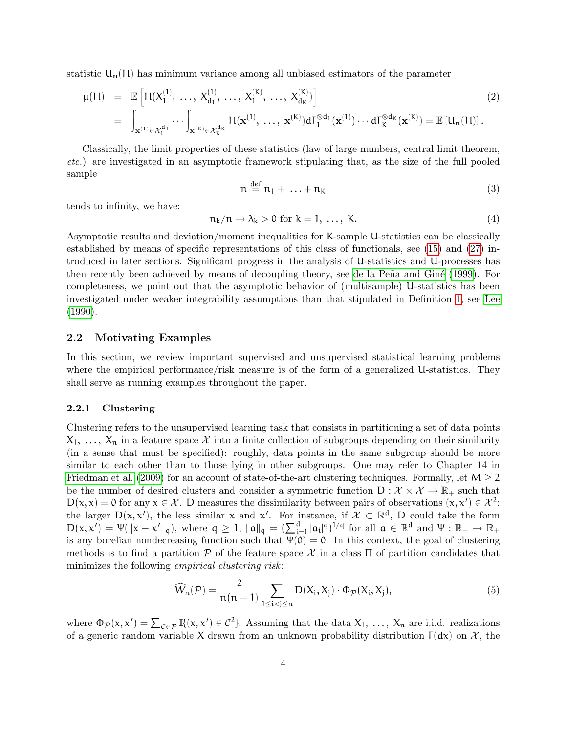statistic  $U_n(H)$  has minimum variance among all unbiased estimators of the parameter

<span id="page-3-2"></span>
$$
\mu(H) = \mathbb{E}\left[H(X_1^{(1)}, \dots, X_{d_1}^{(1)}, \dots, X_1^{(K)}, \dots, X_{d_K}^{(K)})\right]
$$
\n
$$
= \int_{\mathbf{x}^{(1)} \in \mathcal{X}_1^{d_1}} \cdots \int_{\mathbf{x}^{(K)} \in \mathcal{X}_K^{d_K}} H(\mathbf{x}^{(1)}, \dots, \mathbf{x}^{(K)}) dF_1^{\otimes d_1}(\mathbf{x}^{(1)}) \cdots dF_K^{\otimes d_K}(\mathbf{x}^{(K)}) = \mathbb{E}\left[U_n(H)\right].
$$
\n(2)

Classically, the limit properties of these statistics (law of large numbers, central limit theorem, etc.) are investigated in an asymptotic framework stipulating that, as the size of the full pooled sample

$$
n \stackrel{\text{def}}{=} n_1 + \ldots + n_K \tag{3}
$$

tends to infinity, we have:

<span id="page-3-3"></span>
$$
n_k/n \to \lambda_k > 0 \text{ for } k = 1, \dots, K. \tag{4}
$$

Asymptotic results and deviation/moment inequalities for K-sample U-statistics can be classically established by means of specific representations of this class of functionals, see [\(15\)](#page-6-0) and [\(27\)](#page-12-0) introduced in later sections. Significant progress in the analysis of U-statistics and U-processes has then recently been achieved by means of decoupling theory, see de la Peña and Giné [\(1999\)](#page-31-7). For completeness, we point out that the asymptotic behavior of (multisample) U-statistics has been investigated under weaker integrability assumptions than that stipulated in Definition [1,](#page-2-2) see [Lee](#page-32-2) [\(1990\)](#page-32-2).

### <span id="page-3-0"></span>2.2 Motivating Examples

In this section, we review important supervised and unsupervised statistical learning problems where the empirical performance/risk measure is of the form of a generalized U-statistics. They shall serve as running examples throughout the paper.

#### <span id="page-3-4"></span>2.2.1 Clustering

Clustering refers to the unsupervised learning task that consists in partitioning a set of data points  $X_1, \ldots, X_n$  in a feature space X into a finite collection of subgroups depending on their similarity (in a sense that must be specified): roughly, data points in the same subgroup should be more similar to each other than to those lying in other subgroups. One may refer to Chapter 14 in [Friedman et al.](#page-32-4) [\(2009\)](#page-32-4) for an account of state-of-the-art clustering techniques. Formally, let  $M \geq 2$ be the number of desired clusters and consider a symmetric function  $D : \mathcal{X} \times \mathcal{X} \to \mathbb{R}_+$  such that  $D(x, x) = 0$  for any  $x \in \mathcal{X}$ . D measures the dissimilarity between pairs of observations  $(x, x') \in \mathcal{X}^2$ . the larger  $D(x, x')$ , the less similar x and x'. For instance, if  $\mathcal{X} \subset \mathbb{R}^d$ , D could take the form  $D(x, x') = \Psi(||x - x'||_q)$ , where  $q \ge 1$ ,  $||a||_q = \left(\sum_{i=1}^d |a_i|^q\right)^{1/q}$  for all  $a \in \mathbb{R}^d$  and  $\Psi : \mathbb{R}_+ \to \mathbb{R}_+$ is any borelian nondecreasing function such that  $\Psi(0) = 0$ . In this context, the goal of clustering methods is to find a partition  $P$  of the feature space  $\mathcal X$  in a class  $\Pi$  of partition candidates that minimizes the following *empirical clustering risk*:

<span id="page-3-1"></span>
$$
\widehat{W}_n(\mathcal{P}) = \frac{2}{n(n-1)} \sum_{1 \le i < j \le n} D(X_i, X_j) \cdot \Phi_{\mathcal{P}}(X_i, X_j),\tag{5}
$$

where  $\Phi_{\mathcal{P}}(x, x') = \sum_{\mathcal{C} \in \mathcal{P}} \mathbb{I}\{(x, x') \in \mathcal{C}^2\}$ . Assuming that the data  $X_1, \ldots, X_n$  are i.i.d. realizations of a generic random variable X drawn from an unknown probability distribution  $F(dx)$  on X, the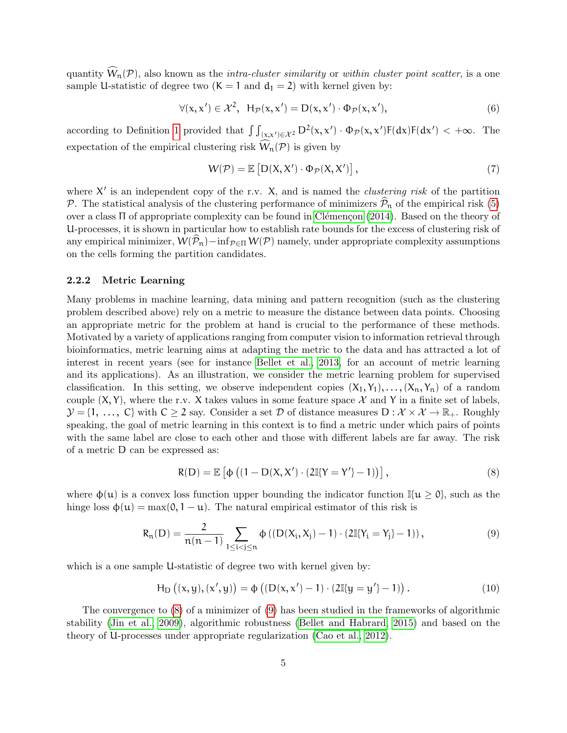quantity  $\widehat{W}_n(\mathcal{P})$ , also known as the *intra-cluster similarity* or *within cluster point scatter*, is a one sample U-statistic of degree two  $(K = 1 \text{ and } d_1 = 2)$  with kernel given by:

$$
\forall (x, x') \in \mathcal{X}^2, \ \mathsf{H}_{\mathcal{P}}(x, x') = \mathsf{D}(x, x') \cdot \Phi_{\mathcal{P}}(x, x'), \tag{6}
$$

according to Definition [1](#page-2-2) provided that  $\int \int_{(x,x') \in \mathcal{X}^2} D^2(x,x') \cdot \Phi_{\mathcal{P}}(x,x')F(dx)F(dx') < +\infty$ . The expectation of the empirical clustering risk  $\hat{W}_n(\mathcal{P})$  is given by

$$
W(\mathcal{P}) = \mathbb{E}\left[D(X, X') \cdot \Phi_{\mathcal{P}}(X, X')\right],\tag{7}
$$

where  $X'$  is an independent copy of the r.v. X, and is named the *clustering risk* of the partition P. The statistical analysis of the clustering performance of minimizers  $\hat{\mathcal{P}}_n$  of the empirical risk [\(5\)](#page-3-1) over a class Π of appropriate complexity can be found in Clémençon [\(2014\)](#page-31-1). Based on the theory of U-processes, it is shown in particular how to establish rate bounds for the excess of clustering risk of any empirical minimizer,  $W(\hat{\mathcal{P}}_n)$ −inf $_{\mathcal{P} \in \Pi} W(\mathcal{P})$  namely, under appropriate complexity assumptions on the cells forming the partition candidates.

#### <span id="page-4-2"></span>2.2.2 Metric Learning

Many problems in machine learning, data mining and pattern recognition (such as the clustering problem described above) rely on a metric to measure the distance between data points. Choosing an appropriate metric for the problem at hand is crucial to the performance of these methods. Motivated by a variety of applications ranging from computer vision to information retrieval through bioinformatics, metric learning aims at adapting the metric to the data and has attracted a lot of interest in recent years (see for instance [Bellet et al., 2013,](#page-31-8) for an account of metric learning and its applications). As an illustration, we consider the metric learning problem for supervised classification. In this setting, we observe independent copies  $(X_1, Y_1), \ldots, (X_n, Y_n)$  of a random couple  $(X, Y)$ , where the r.v. X takes values in some feature space X and Y in a finite set of labels,  $\mathcal{Y} = \{1, \ldots, C\}$  with  $C \geq 2$  say. Consider a set  $\mathcal{D}$  of distance measures  $D : \mathcal{X} \times \mathcal{X} \to \mathbb{R}_+$ . Roughly speaking, the goal of metric learning in this context is to find a metric under which pairs of points with the same label are close to each other and those with different labels are far away. The risk of a metric D can be expressed as:

<span id="page-4-0"></span>
$$
R(D) = \mathbb{E}\left[\Phi\left((1 - D(X, X') \cdot (2\mathbb{I}\{Y = Y'\} - 1)\right)\right],\tag{8}
$$

where  $\phi(\mu)$  is a convex loss function upper bounding the indicator function  $\mathbb{I}\{\mu > 0\}$ , such as the hinge loss  $\phi(\mathfrak{u}) = \max(0, 1 - \mathfrak{u})$ . The natural empirical estimator of this risk is

<span id="page-4-1"></span>
$$
R_n(D) = \frac{2}{n(n-1)} \sum_{1 \le i < j \le n} \Phi\left( (D(X_i, X_j) - 1) \cdot (2\mathbb{I}\{Y_i = Y_j\} - 1) \right),\tag{9}
$$

which is a one sample U-statistic of degree two with kernel given by:

$$
H_D ((x, y), (x', y)) = \phi ((D(x, x') - 1) \cdot (2\mathbb{I}{y = y'} - 1)).
$$
\n(10)

The convergence to [\(8\)](#page-4-0) of a minimizer of [\(9\)](#page-4-1) has been studied in the frameworks of algorithmic stability [\(Jin et al., 2009\)](#page-32-5), algorithmic robustness [\(Bellet and Habrard, 2015\)](#page-30-1) and based on the theory of U-processes under appropriate regularization [\(Cao et al., 2012\)](#page-31-2).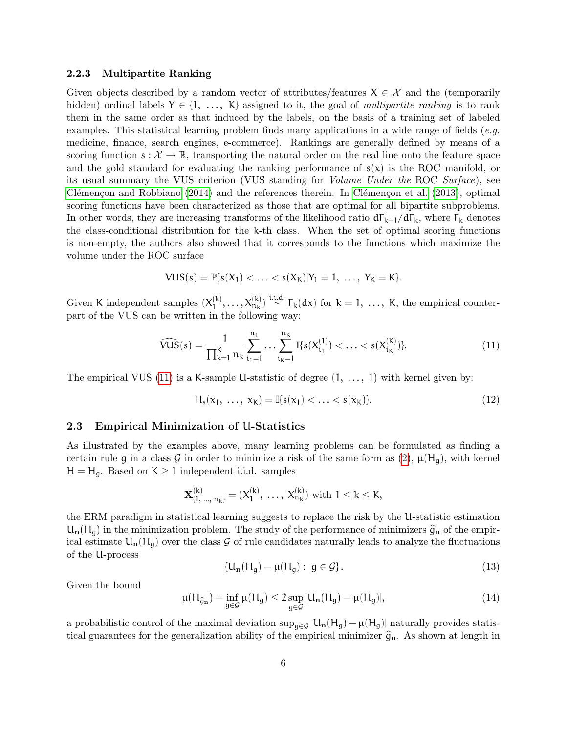#### 2.2.3 Multipartite Ranking

Given objects described by a random vector of attributes/features  $X \in \mathcal{X}$  and the (temporarily hidden) ordinal labels  $Y \in \{1, \ldots, K\}$  assigned to it, the goal of multipartite ranking is to rank them in the same order as that induced by the labels, on the basis of a training set of labeled examples. This statistical learning problem finds many applications in a wide range of fields (e.g. medicine, finance, search engines, e-commerce). Rankings are generally defined by means of a scoring function  $s: \mathcal{X} \to \mathbb{R}$ , transporting the natural order on the real line onto the feature space and the gold standard for evaluating the ranking performance of  $s(x)$  is the ROC manifold, or its usual summary the VUS criterion (VUS standing for Volume Under the ROC Surface), see Clémençon and Robbiano  $(2014)$  and the references therein. In Clémençon et al.  $(2013)$ , optimal scoring functions have been characterized as those that are optimal for all bipartite subproblems. In other words, they are increasing transforms of the likelihood ratio  $dF_{k+1}/dF_k$ , where  $F_k$  denotes the class-conditional distribution for the k-th class. When the set of optimal scoring functions is non-empty, the authors also showed that it corresponds to the functions which maximize the volume under the ROC surface

$$
VUS(s) = \mathbb{P}\{s(X_1) < \ldots < s(X_K)|Y_1 = 1, \ldots, Y_K = K\}.
$$

Given K independent samples  $(X_1^{(k)})$  $\mathcal{X}_1^{(k)}, \ldots, \mathcal{X}_{n_k}^{(k)}$  i.i.d.  $F_k(dx)$  for  $k = 1, \ldots, K$ , the empirical counterpart of the VUS can be written in the following way:

<span id="page-5-1"></span>
$$
\widehat{VUS}(s) = \frac{1}{\prod_{k=1}^{K} n_k} \sum_{i_1=1}^{n_1} \dots \sum_{i_K=1}^{n_K} \mathbb{I}\{s(X_{i_1}^{(1)}) < \dots < s(X_{i_K}^{(K)})\}.\tag{11}
$$

The empirical VUS [\(11\)](#page-5-1) is a K-sample U-statistic of degree  $(1, \ldots, 1)$  with kernel given by:

$$
H_s(x_1, \ldots, x_K) = \mathbb{I}\{s(x_1) < \ldots < s(x_K)\}.
$$
\n(12)

#### <span id="page-5-0"></span>2.3 Empirical Minimization of U-Statistics

As illustrated by the examples above, many learning problems can be formulated as finding a certain rule g in a class G in order to minimize a risk of the same form as  $(2)$ ,  $\mu(H_q)$ , with kernel  $H = H<sub>g</sub>$ . Based on  $K \ge 1$  independent i.i.d. samples

$$
\mathbf{X}^{(k)}_{\{1,\,\ldots,\,n_k\}}=(X^{(k)}_1,\,\ldots,\,X^{(k)}_{n_k})\,\,\mathrm{with}\,\,1\leq k\leq K,
$$

the ERM paradigm in statistical learning suggests to replace the risk by the U-statistic estimation  $U_n(H_g)$  in the minimization problem. The study of the performance of minimizers  $\hat{g}_n$  of the empirical estimate  $U_n(H_g)$  over the class G of rule candidates naturally leads to analyze the fluctuations of the U-process

$$
\{U_{n}(H_{g}) - \mu(H_{g}) : g \in \mathcal{G}\}.
$$
\n(13)

Given the bound

$$
\mu(H_{\widehat{g}_{\mathbf{n}}}) - \inf_{g \in \mathcal{G}} \mu(H_g) \le 2 \sup_{g \in \mathcal{G}} |U_{\mathbf{n}}(H_g) - \mu(H_g)|, \tag{14}
$$

a probabilistic control of the maximal deviation  $\sup_{g\in\mathcal{G}}|U_n(H_g) - \mu(H_g)|$  naturally provides statistical guarantees for the generalization ability of the empirical minimizer  $\hat{g}_{n}$ . As shown at length in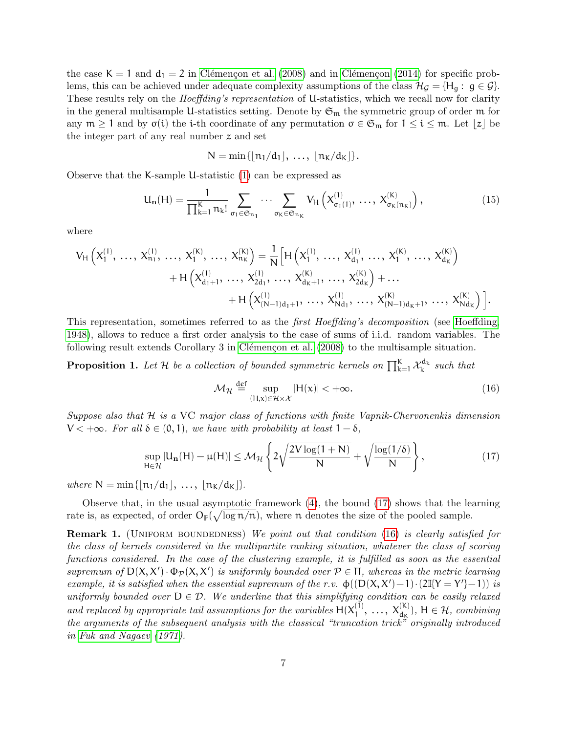the case  $K = 1$  and  $d_1 = 2$  in Clémençon et al. [\(2008\)](#page-31-3) and in Clémençon [\(2014\)](#page-31-1) for specific problems, this can be achieved under adequate complexity assumptions of the class  $\mathcal{H}_{\mathcal{G}} = \{H_q : g \in \mathcal{G}\}\.$ These results rely on the *Hoeffding's representation* of U-statistics, which we recall now for clarity in the general multisample U-statistics setting. Denote by  $\mathfrak{S}_{m}$  the symmetric group of order  $m$  for any  $m \geq 1$  and by  $\sigma(i)$  the i-th coordinate of any permutation  $\sigma \in \mathfrak{S}_m$  for  $1 \leq i \leq m$ . Let  $|z|$  be the integer part of any real number z and set

$$
N = \min\{\lfloor n_1/d_1\rfloor, \ldots, \lfloor n_K/d_K\rfloor\}.
$$

Observe that the K-sample U-statistic [\(1\)](#page-2-3) can be expressed as

<span id="page-6-0"></span>
$$
U_{n}(H) = \frac{1}{\prod_{k=1}^{K} n_{k}!} \sum_{\sigma_{1} \in \mathfrak{S}_{n_{1}}} \cdots \sum_{\sigma_{K} \in \mathfrak{S}_{n_{K}}} V_{H}\left(X_{\sigma_{1}(1)}^{(1)}, \ldots, X_{\sigma_{K}(n_{K})}^{(K)}\right),\tag{15}
$$

where

$$
V_{H}\left(X_{1}^{(1)},\, \ldots,\, X_{n_{1}}^{(1)},\, \ldots,\, X_{1}^{(K)},\, \ldots,\, X_{n_{K}}^{(K)}\right)=\frac{1}{N}\Big[H\left(X_{1}^{(1)},\, \ldots,\, X_{d_{1}}^{(1)},\, \ldots,\, X_{1}^{(K)},\, \ldots,\, X_{d_{K}}^{(K)}\right)\\ \quad+\, H\left(X_{d_{1}+1}^{(1)},\, \ldots,\, X_{2d_{1}}^{(1)},\, \ldots,\, X_{d_{K}+1}^{(K)},\, \ldots,\, X_{2d_{K}}^{(K)}\right)+\ldots\\ \quad+H\left(X_{(N-1)d_{1}+1}^{(1)},\, \ldots,\, X_{Nd_{1}}^{(1)},\, \ldots,\, X_{(N-1)d_{K}+1}^{(K)},\, \ldots,\, X_{Nd_{K}}^{(K)}\right)\Big].
$$

This representation, sometimes referred to as the *first Hoeffding's decomposition* (see [Hoeffding,](#page-32-3) [1948\)](#page-32-3), allows to reduce a first order analysis to the case of sums of i.i.d. random variables. The following result extends Corollary 3 in Clémençon et al. [\(2008\)](#page-31-3) to the multisample situation.

<span id="page-6-3"></span>**Proposition 1.** Let H be a collection of bounded symmetric kernels on  $\prod_{k=1}^{K} \mathcal{X}_{k}^{d_k}$  such that

<span id="page-6-2"></span>
$$
\mathcal{M}_{\mathcal{H}} \stackrel{\text{def}}{=} \sup_{(\mathsf{H},\mathsf{x}) \in \mathcal{H} \times \mathcal{X}} |\mathsf{H}(\mathsf{x})| < +\infty. \tag{16}
$$

Suppose also that H is a VC major class of functions with finite Vapnik-Chervonenkis dimension  $V < +\infty$ . For all  $\delta \in (0,1)$ , we have with probability at least  $1-\delta$ ,

<span id="page-6-1"></span>
$$
\sup_{H \in \mathcal{H}} |U_{\mathbf{n}}(H) - \mu(H)| \le \mathcal{M}_{\mathcal{H}} \left\{ 2\sqrt{\frac{2V \log(1+N)}{N}} + \sqrt{\frac{\log(1/\delta)}{N}} \right\},\tag{17}
$$

where  $N = \min\{|n_1/d_1|, ..., |n_K/d_K|\}.$ 

Observe that, in the usual asymptotic framework [\(4\)](#page-3-3), the bound [\(17\)](#page-6-1) shows that the learning rate is, as expected, of order  $O_{\mathbb{P}}(\sqrt{\log n/n})$ , where n denotes the size of the pooled sample.

**Remark 1.** (UNIFORM BOUNDEDNESS) We point out that condition [\(16\)](#page-6-2) is clearly satisfied for the class of kernels considered in the multipartite ranking situation, whatever the class of scoring functions considered. In the case of the clustering example, it is fulfilled as soon as the essential supremum of  $D(X, X') \cdot \Phi_{\mathcal{P}}(X, X')$  is uniformly bounded over  $\mathcal{P} \in \Pi$ , whereas in the metric learning example, it is satisfied when the essential supremum of the r.v.  $\phi([D(X, X')-1) \cdot (2\mathbb{I}{Y = Y'}-1))$  is uniformly bounded over  $D \in \mathcal{D}$ . We underline that this simplifying condition can be easily relaxed and replaced by appropriate tail assumptions for the variables  $H(X_1^{(1)})$  $X_1^{(1)}, \ldots, X_{d_K}^{(K)}$ , H  $\in \mathcal{H}$ , combining the arguments of the subsequent analysis with the classical "truncation trick" originally introduced in [Fuk and Nagaev](#page-32-6) [\(1971\)](#page-32-6).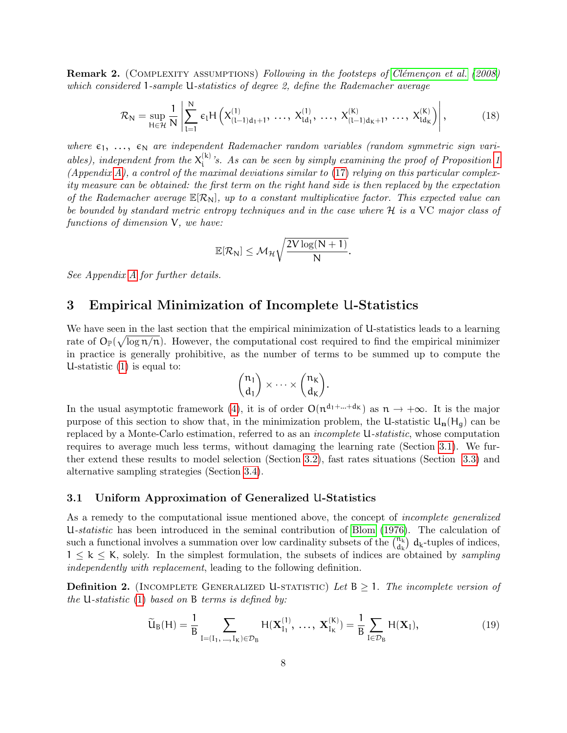<span id="page-7-4"></span>**Remark 2.** (COMPLEXITY ASSUMPTIONS) Following in the footsteps of Clémençon et al. [\(2008\)](#page-31-3) which considered 1-sample U-statistics of degree 2, define the Rademacher average

<span id="page-7-3"></span>
$$
\mathcal{R}_{N} = \sup_{H \in \mathcal{H}} \frac{1}{N} \left| \sum_{l=1}^{N} \epsilon_{l} H\left(X_{(l-1)d_{1}+1}^{(1)}, \ldots, X_{ld_{1}}^{(1)}, \ldots, X_{(l-1)d_{K}+1}^{(K)}, \ldots, X_{ld_{K}}^{(K)}\right) \right|, \tag{18}
$$

where  $\varepsilon_1, \ldots, \varepsilon_N$  are independent Rademacher random variables (random symmetric sign variables), independent from the  $X_i^{(k)}$  $i<sup>(K)</sup>$  *s*. As can be seen by simply examining the proof of Proposition [1](#page-6-3) (Appendix [A\)](#page-23-1), a control of the maximal deviations similar to  $(17)$  relying on this particular complexity measure can be obtained: the first term on the right hand side is then replaced by the expectation of the Rademacher average  $\mathbb{E}[\mathcal{R}_{N}]$ , up to a constant multiplicative factor. This expected value can be bounded by standard metric entropy techniques and in the case where H is a VC major class of functions of dimension V, we have:

$$
\mathbb{E}[\mathcal{R}_N] \leq \mathcal{M}_\mathcal{H} \sqrt{\frac{2V\log(N+1)}{N}}.
$$

See Appendix [A](#page-23-1) for further details.

### <span id="page-7-0"></span>3 Empirical Minimization of Incomplete U-Statistics

We have seen in the last section that the empirical minimization of U-statistics leads to a learning rate of  $O_{\mathbb{P}}(\sqrt{\log n/n})$ . However, the computational cost required to find the empirical minimizer in practice is generally prohibitive, as the number of terms to be summed up to compute the U-statistic [\(1\)](#page-2-3) is equal to:

$$
\binom{\mathfrak{n}_1}{d_1}\times\cdots\times\binom{\mathfrak{n}_K}{d_K}.
$$

In the usual asymptotic framework [\(4\)](#page-3-3), it is of order  $O(n^{d_1 + ... + d_k})$  as  $n \to +\infty$ . It is the major purpose of this section to show that, in the minimization problem, the U-statistic  $U_n(H_q)$  can be replaced by a Monte-Carlo estimation, referred to as an incomplete U-statistic, whose computation requires to average much less terms, without damaging the learning rate (Section [3.1\)](#page-7-1). We further extend these results to model selection (Section [3.2\)](#page-11-0), fast rates situations (Section [3.3\)](#page-12-1) and alternative sampling strategies (Section [3.4\)](#page-14-0).

### <span id="page-7-1"></span>3.1 Uniform Approximation of Generalized U-Statistics

As a remedy to the computational issue mentioned above, the concept of *incomplete generalized* U-statistic has been introduced in the seminal contribution of [Blom](#page-31-5) [\(1976\)](#page-31-5). The calculation of such a functional involves a summation over low cardinality subsets of the  $\binom{n_k}{d}$  $\binom{n_k}{d_k}$  d<sub>k</sub>-tuples of indices,  $1 \leq k \leq K$ , solely. In the simplest formulation, the subsets of indices are obtained by sampling independently with replacement, leading to the following definition.

**Definition 2.** (INCOMPLETE GENERALIZED U-STATISTIC) Let  $B \geq 1$ . The incomplete version of the U-statistic  $(1)$  based on B terms is defined by:

<span id="page-7-2"></span>
$$
\widetilde{U}_{B}(H) = \frac{1}{B} \sum_{I = (I_{1}, ..., I_{K}) \in \mathcal{D}_{B}} H(\mathbf{X}_{I_{1}}^{(1)}, ..., \mathbf{X}_{I_{K}}^{(K)}) = \frac{1}{B} \sum_{I \in \mathcal{D}_{B}} H(\mathbf{X}_{I}),
$$
\n(19)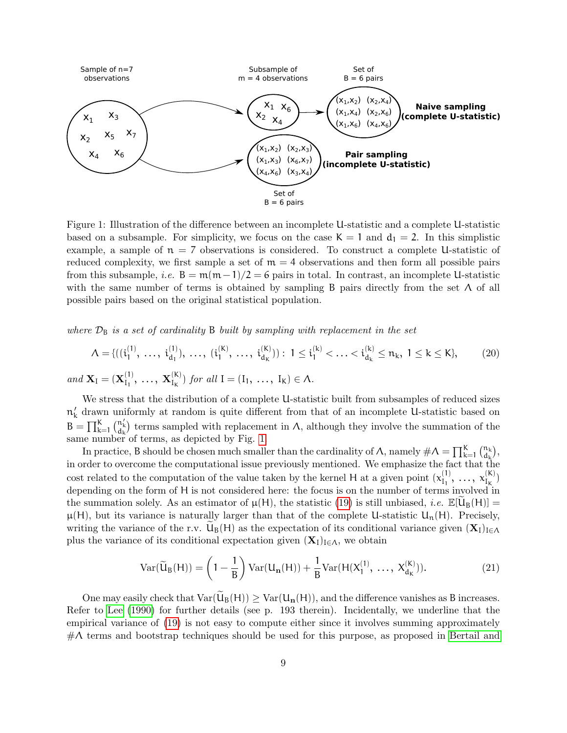

<span id="page-8-0"></span>Figure 1: Illustration of the difference between an incomplete U-statistic and a complete U-statistic based on a subsample. For simplicity, we focus on the case  $K = 1$  and  $d_1 = 2$ . In this simplistic example, a sample of  $n = 7$  observations is considered. To construct a complete U-statistic of reduced complexity, we first sample a set of  $m = 4$  observations and then form all possible pairs from this subsample, *i.e.* B =  $m(m-1)/2 = 6$  pairs in total. In contrast, an incomplete U-statistic with the same number of terms is obtained by sampling B pairs directly from the set  $\Lambda$  of all possible pairs based on the original statistical population.

where  $\mathcal{D}_B$  is a set of cardinality B built by sampling with replacement in the set

$$
\Lambda = \{ ( (i_1^{(1)}, \, \ldots, \, i_{d_1}^{(1)}), \, \ldots, \, (i_1^{(K)}, \, \ldots, \, i_{d_K}^{(K)}) ) : \, 1 \leq i_1^{(k)} < \ldots < i_{d_k}^{(k)} \leq n_k, \, 1 \leq k \leq K \}, \tag{20}
$$

and  $\mathbf{X}_{\mathrm{I}} = (\mathbf{X}_{\mathrm{I}_{1}}^{(1)})$  ${\bf X}^{(\mathsf{I})}_{\mathrm{I}_1},\; \ldots,\; {\bf X}^{(\mathsf{K})}_{\mathrm{I}_{\mathsf{K}}}$  $I_{\mathsf{I}_{\mathsf{K}}}^{(\mathsf{N})}$  for all  $\mathsf{I} = (\mathsf{I}_1, \ldots, \mathsf{I}_{\mathsf{K}}) \in \Lambda$ .

We stress that the distribution of a complete U-statistic built from subsamples of reduced sizes  $n'_{k}$  drawn uniformly at random is quite different from that of an incomplete U-statistic based on  $B = \prod_{k=1}^{K} \binom{n'_{k}}{d_{k}}$  terms sampled with replacement in  $\Lambda$ , although they involve the summation of the same number of terms, as depicted by Fig. [1.](#page-8-0)

In practice, B should be chosen much smaller than the cardinality of  $\Lambda$ , namely  $\#\Lambda = \prod_{k=1}^{K} \binom{n_k}{d_k}$  $\binom{\mathfrak{n}_{\mathsf{k}}}{\mathfrak{d}_{\mathsf{k}}},$ in order to overcome the computational issue previously mentioned. We emphasize the fact that the cost related to the computation of the value taken by the kernel H at a given point  $(x_1^{(1)})$  $x_{I_1}^{(1)}, \ldots, x_{I_K}^{(K)}$  $\binom{N}{k}$ depending on the form of H is not considered here: the focus is on the number of terms involved in the summation solely. As an estimator of  $\mu(H)$ , the statistic [\(19\)](#page-7-2) is still unbiased, *i.e.*  $\mathbb{E}[\widetilde{\mathbf{u}}_{\mathbf{B}}(H)] =$  $\mu(H)$ , but its variance is naturally larger than that of the complete U-statistic  $U_n(H)$ . Precisely, writing the variance of the r.v.  $U_{B}(H)$  as the expectation of its conditional variance given  $(X_{I})_{I\in\Lambda}$ plus the variance of its conditional expectation given  $(X_I)_{I\in\Lambda}$ , we obtain

$$
\operatorname{Var}(\widetilde{\mathbf{U}}_{\mathbf{B}}(\mathbf{H})) = \left(1 - \frac{1}{\mathbf{B}}\right) \operatorname{Var}(\mathbf{U}_{\mathbf{n}}(\mathbf{H})) + \frac{1}{\mathbf{B}} \operatorname{Var}(\mathbf{H}(\mathbf{X}_{1}^{(1)}, \ldots, \mathbf{X}_{d_{\mathbf{K}}}^{(\mathbf{K})})). \tag{21}
$$

One may easily check that  $Var(U_B(H)) \geq Var(U_n(H))$ , and the difference vanishes as B increases. Refer to [Lee](#page-32-2) [\(1990\)](#page-32-2) for further details (see p. 193 therein). Incidentally, we underline that the empirical variance of [\(19\)](#page-7-2) is not easy to compute either since it involves summing approximately  $\#\Lambda$  terms and bootstrap techniques should be used for this purpose, as proposed in [Bertail and](#page-31-11)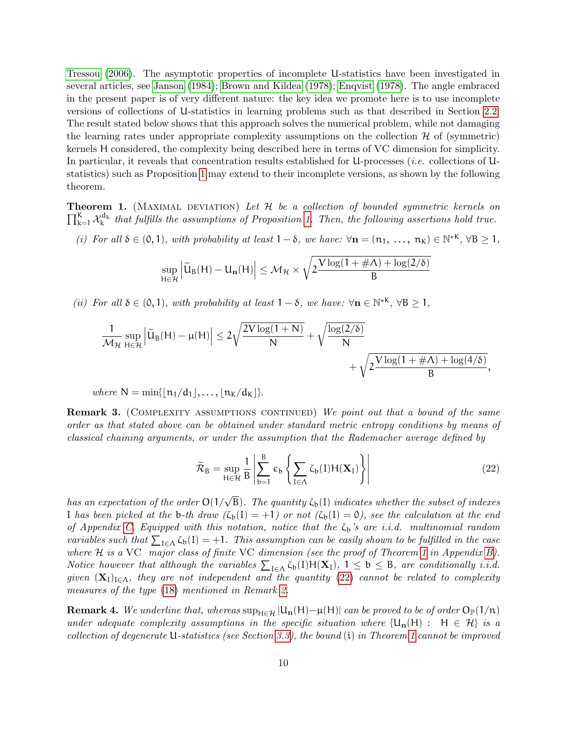[Tressou](#page-31-11) [\(2006\)](#page-31-11). The asymptotic properties of incomplete U-statistics have been investigated in several articles, see [Janson](#page-32-7) [\(1984\)](#page-32-7); [Brown and Kildea](#page-31-12) [\(1978\)](#page-31-12); [Enqvist](#page-32-8) [\(1978\)](#page-32-8). The angle embraced in the present paper is of very different nature: the key idea we promote here is to use incomplete versions of collections of U-statistics in learning problems such as that described in Section [2.2.](#page-3-0) The result stated below shows that this approach solves the numerical problem, while not damaging the learning rates under appropriate complexity assumptions on the collection  $\mathcal H$  of (symmetric) kernels H considered, the complexity being described here in terms of VC dimension for simplicity. In particular, it reveals that concentration results established for U-processes (i.e. collections of Ustatistics) such as Proposition [1](#page-6-3) may extend to their incomplete versions, as shown by the following theorem.

<span id="page-9-0"></span> $\prod_{k=1}^{K} \mathcal{X}_{k}^{d_{k}}$  that fulfills the assumptions of Proposition [1.](#page-6-3) Then, the following assertions hold true. **Theorem 1.** (MAXIMAL DEVIATION) Let  $H$  be a collection of bounded symmetric kernels on

(i) For all  $\delta \in (0,1)$ , with probability at least  $1-\delta$ , we have:  $\forall n = (n_1, \ldots, n_K) \in \mathbb{N}^{*K}$ ,  $\forall B \ge 1$ ,

$$
\sup_{H\in\mathcal{H}}\left\vert\widetilde{U}_B(H)-U_{\mathbf{n}}(H)\right\vert\leq\mathcal{M}_{\mathcal{H}}\times\sqrt{2\frac{V\log(1+\#\Lambda)+\log(2/\delta)}{B}}
$$

(ii) For all  $\delta \in (0,1)$ , with probability at least  $1-\delta$ , we have:  $\forall n \in \mathbb{N}^{*K}$ ,  $\forall B \ge 1$ ,

$$
\frac{1}{\mathcal{M}_\mathcal{H}}\sup_{H\in\mathcal{H}}\left|\widetilde{U}_B(H)-\mu(H)\right|\leq 2\sqrt{\frac{2V\log(1+N)}{N}}+\sqrt{\frac{\log(2/\delta)}{N}} \\+\sqrt{2\frac{V\log(1+\#\Lambda)+\log(4/\delta)}{B}},
$$

where  $N = \min\{|n_1/d_1|, \ldots, |n_K/d_K|\}.$ 

**Remark 3.** (COMPLEXITY ASSUMPTIONS CONTINUED) We point out that a bound of the same order as that stated above can be obtained under standard metric entropy conditions by means of classical chaining arguments, or under the assumption that the Rademacher average defined by

<span id="page-9-1"></span>
$$
\widetilde{\mathcal{R}}_{B} = \sup_{H \in \mathcal{H}} \frac{1}{B} \left| \sum_{b=1}^{B} \epsilon_{b} \left\{ \sum_{I \in \Lambda} \zeta_{b}(I) H(\mathbf{X}_{I}) \right\} \right| \tag{22}
$$

has an expectation of the order  $O(1/\sqrt{B})$ . The quantity  $\zeta_{b}(I)$  indicates whether the subset of indexes I has been picked at the b-th draw  $(\zeta_b(1) = +1)$  or not  $(\zeta_b(1) = 0)$ , see the calculation at the end of Appendix [C.](#page-25-0) Equipped with this notation, notice that the  $\zeta_b$ 's are i.i.d. multinomial random variables such that  $\sum_{I \in \Lambda} \zeta_b(I) = +1$ . This assumption can be easily shown to be fulfilled in the case where H is a VC major class of finite VC dimension (see the proof of Theorem [1](#page-9-0) in Appendix [B\)](#page-24-0). Notice however that although the variables  $\sum_{I \in \Lambda} \zeta_b(I) H(\mathbf{X}_I), 1 \leq b \leq B$ , are conditionally i.i.d. given  $(X_1)_{I \in \Lambda}$ , they are not independent and the quantity [\(22\)](#page-9-1) cannot be related to complexity measures of the type [\(18\)](#page-7-3) mentioned in Remark [2.](#page-7-4)

**Remark 4.** We underline that, whereas  $\sup_{H \in \mathcal{H}} |U_n(H) - \mu(H)|$  can be proved to be of order  $O_{\mathbb{P}}(1/n)$ under adequate complexity assumptions in the specific situation where  $\{U_n(H): H \in \mathcal{H}\}\$ is a collection of degenerate U-statistics (see Section [3.3\)](#page-12-1), the bound (i) in Theorem [1](#page-9-0) cannot be improved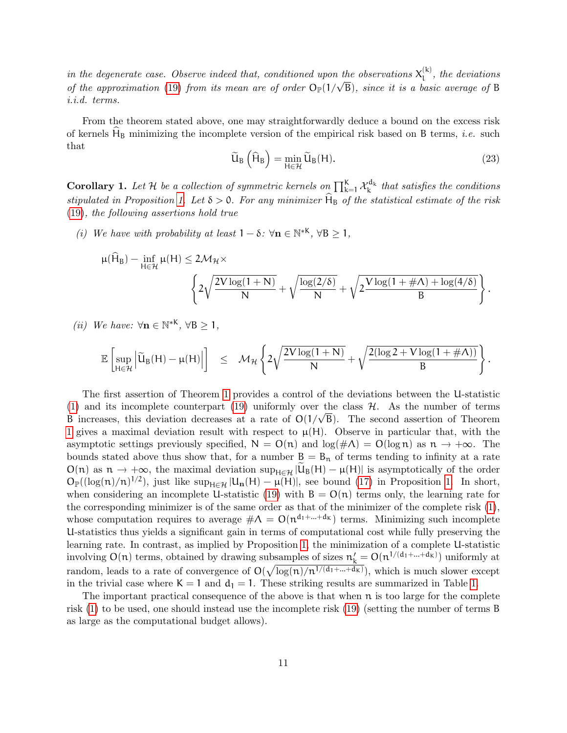in the degenerate case. Observe indeed that, conditioned upon the observations  $X_1^{(k)}$  $\int_{1}^{K}$ , the deviations of the approximation [\(19\)](#page-7-2) from its mean are of order  $O_{\mathbb{P}}(1/\sqrt{B})$ , since it is a basic average of B i.i.d. terms.

From the theorem stated above, one may straightforwardly deduce a bound on the excess risk of kernels  $H_B$  minimizing the incomplete version of the empirical risk based on B terms, *i.e.* such that

<span id="page-10-0"></span>
$$
\widetilde{U}_{B}\left(\widehat{H}_{B}\right) = \min_{H \in \mathcal{H}} \widetilde{U}_{B}(H). \tag{23}
$$

<span id="page-10-1"></span>**Corollary 1.** Let H be a collection of symmetric kernels on  $\prod_{k=1}^{K} \mathcal{X}_k^{d_k}$  that satisfies the conditions stipulated in Proposition [1.](#page-6-3) Let  $\delta > 0$ . For any minimizer  $H_B$  of the statistical estimate of the risk [\(19\)](#page-7-2), the following assertions hold true

(i) We have with probability at least  $1 - \delta$ :  $\forall n \in \mathbb{N}^{*K}$ ,  $\forall B \ge 1$ ,

$$
\mu(\widehat{H}_B) - \inf_{H \in \mathcal{H}} \mu(H) \le 2\mathcal{M}_{\mathcal{H}} \times \left\{ 2\sqrt{\frac{2V\log(1+N)}{N}} + \sqrt{\frac{\log(2/\delta)}{N}} + \sqrt{2\frac{V\log(1+\#\Lambda)+\log(4/\delta)}{B}} \right\}.
$$

(*ii*) We have:  $\forall n \in \mathbb{N}^{*K}, \forall B \geq 1,$ 

$$
\mathbb{E}\left[\sup_{H\in\mathcal{H}}\left|\widetilde{U}_B(H) - \mu(H)\right|\right] \quad \leq \quad \mathcal{M}_{\mathcal{H}}\left\{2\sqrt{\frac{2V\log(1+N)}{N}} + \sqrt{\frac{2(\log 2+V\log(1+\#\Lambda))}{B}}\right\}.
$$

The first assertion of Theorem [1](#page-9-0) provides a control of the deviations between the U-statistic [\(1\)](#page-2-3) and its incomplete counterpart [\(19\)](#page-7-2) uniformly over the class  $H$ . As the number of terms (1) and its incomplete counterpart (19) uniformly over the class  $H$ . As the number of terms <br>B increases, this deviation decreases at a rate of  $O(1/\sqrt{B})$ . The second assertion of Theorem [1](#page-9-0) gives a maximal deviation result with respect to  $\mu(H)$ . Observe in particular that, with the asymptotic settings previously specified,  $N = O(n)$  and  $log(\#\Lambda) = O(log n)$  as  $n \to +\infty$ . The bounds stated above thus show that, for a number  $B = B_n$  of terms tending to infinity at a rate  $O(n)$  as  $n \to +\infty$ , the maximal deviation  $\sup_{H \in \mathcal{H}} |U_B(H) - \mu(H)|$  is asymptotically of the order  $O_{\mathbb{P}}((\log(n)/n)^{1/2})$ , just like  $\sup_{H \in \mathcal{H}} |U_n(H) - \mu(H)|$ , see bound [\(17\)](#page-6-1) in Proposition [1.](#page-6-3) In short, when considering an incomplete U-statistic [\(19\)](#page-7-2) with  $B = O(n)$  terms only, the learning rate for the corresponding minimizer is of the same order as that of the minimizer of the complete risk [\(1\)](#page-2-3), whose computation requires to average  $\#\Lambda = O(n^{d_1 + ... + d_K})$  terms. Minimizing such incomplete U-statistics thus yields a significant gain in terms of computational cost while fully preserving the learning rate. In contrast, as implied by Proposition [1,](#page-6-3) the minimization of a complete U-statistic involving  $O(n)$  terms, obtained by drawing subsamples of sizes  $n'_k = O(n^{1/(d_1 + ... + d_k)})$  uniformly at random, leads to a rate of convergence of  $O(\sqrt{\log(n)/n^{1/(d_1+\ldots+d_K)}})$ , which is much slower except in the trivial case where  $K = 1$  and  $d_1 = 1$ . These striking results are summarized in Table [1.](#page-11-1)

The important practical consequence of the above is that when  $\mathfrak n$  is too large for the complete risk [\(1\)](#page-2-3) to be used, one should instead use the incomplete risk [\(19\)](#page-7-2) (setting the number of terms B as large as the computational budget allows).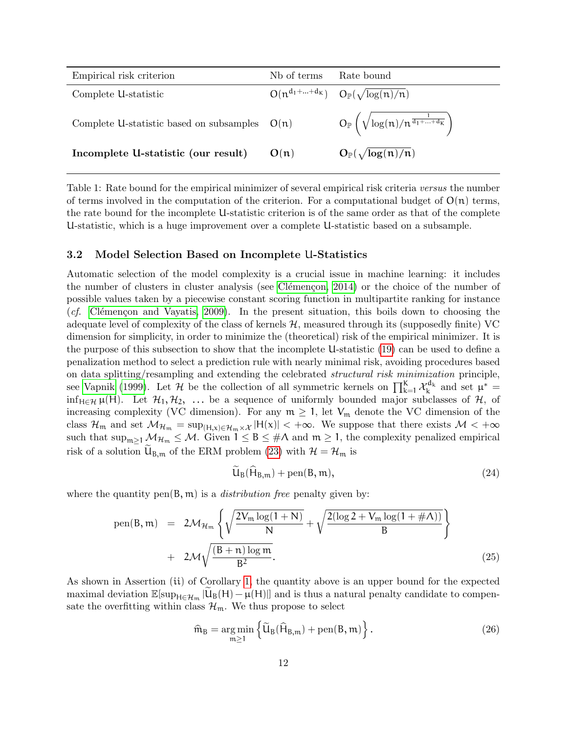| Empirical risk criterion                        | N <sub>b</sub> of terms | Rate bound                                                               |
|-------------------------------------------------|-------------------------|--------------------------------------------------------------------------|
| Complete U-statistic                            |                         | $O(n^{d_1 + \dots + d_K})$ $O_{\mathbb{P}}(\sqrt{\log(n)/n})$            |
| Complete U-statistic based on subsamples $O(n)$ |                         | $O_{\mathbb{P}}\left(\sqrt{\log(n)/n^{\frac{1}{d_1+\ldots+d_K}}}\right)$ |
| Incomplete U-statistic (our result)             | O(n)                    | $O_{\mathbb{P}}(\sqrt{\log(n)}/n)$                                       |

<span id="page-11-1"></span>Table 1: Rate bound for the empirical minimizer of several empirical risk criteria versus the number of terms involved in the computation of the criterion. For a computational budget of  $O(n)$  terms, the rate bound for the incomplete U-statistic criterion is of the same order as that of the complete U-statistic, which is a huge improvement over a complete U-statistic based on a subsample.

### <span id="page-11-0"></span>3.2 Model Selection Based on Incomplete U-Statistics

Automatic selection of the model complexity is a crucial issue in machine learning: it includes the number of clusters in cluster analysis (see Clémençon, 2014) or the choice of the number of possible values taken by a piecewise constant scoring function in multipartite ranking for instance (*cf.* Clémençon and Vayatis, 2009). In the present situation, this boils down to choosing the adequate level of complexity of the class of kernels  $H$ , measured through its (supposedly finite) VC dimension for simplicity, in order to minimize the (theoretical) risk of the empirical minimizer. It is the purpose of this subsection to show that the incomplete U-statistic [\(19\)](#page-7-2) can be used to define a penalization method to select a prediction rule with nearly minimal risk, avoiding procedures based on data splitting/resampling and extending the celebrated structural risk minimization principle, see [Vapnik](#page-33-0) [\(1999\)](#page-33-0). Let H be the collection of all symmetric kernels on  $\prod_{k=1}^{K} \mathcal{X}_{k}^{d_{k}}$  and set  $\mu^*$ inf<sub>H∈H</sub> µ(H). Let  $H_1, H_2, \ldots$  be a sequence of uniformly bounded major subclasses of H, of increasing complexity (VC dimension). For any  $m \geq 1$ , let  $V_m$  denote the VC dimension of the class  $\mathcal{H}_m$  and set  $\mathcal{M}_{\mathcal{H}_m} = \sup_{(H,x)\in\mathcal{H}_m\times\mathcal{X}} |H(x)| < +\infty$ . We suppose that there exists  $\mathcal{M} < +\infty$ such that  $\sup_{m>1} M_{\mathcal{H}_m} \leq M$ . Given  $1 \leq B \leq \#\Lambda$  and  $m \geq 1$ , the complexity penalized empirical risk of a solution  $U_{B,m}$  of the ERM problem [\(23\)](#page-10-0) with  $\mathcal{H} = \mathcal{H}_m$  is

$$
\tilde{U}_{B}(\tilde{H}_{B,m}) + \text{pen}(B,m),\tag{24}
$$

where the quantity pen $(B, m)$  is a *distribution free* penalty given by:

<span id="page-11-2"></span>pen(B, m) = 
$$
2\mathcal{M}_{\mathcal{H}_m} \left\{ \sqrt{\frac{2V_m \log(1 + N)}{N}} + \sqrt{\frac{2(\log 2 + V_m \log(1 + \#\Lambda))}{B}} \right\}
$$
  
+  $2\mathcal{M}\sqrt{\frac{(B + n) \log m}{B^2}}$ . (25)

As shown in Assertion (ii) of Corollary [1,](#page-10-1) the quantity above is an upper bound for the expected maximal deviation  $\mathbb{E}[\sup_{H \in \mathcal{H}_m} |\widetilde{U}_B(H) - \mu(H)|]$  and is thus a natural penalty candidate to compensate the overfitting within class  $\mathcal{H}_{m}$ . We thus propose to select

$$
\widehat{\mathfrak{m}}_B = \underset{\mathfrak{m} \ge 1}{\arg \min} \left\{ \widetilde{U}_B(\widehat{H}_{B,\mathfrak{m}}) + \text{pen}(B,\mathfrak{m}) \right\}.
$$
\n(26)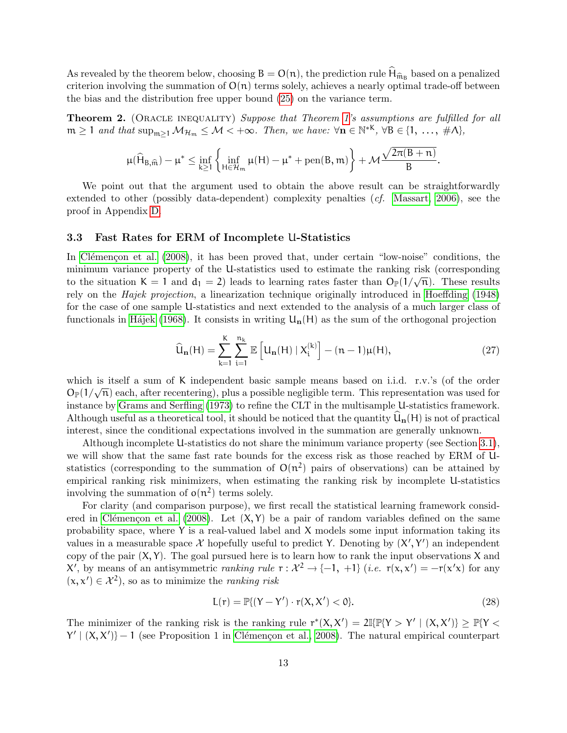As revealed by the theorem below, choosing  $B = O(n)$ , the prediction rule  $H_{\hat{m}_B}$  based on a penalized exitence involving the summation of  $O(n)$  terms salely achieves a peak aptimal trade of between criterion involving the summation of  $O(n)$  terms solely, achieves a nearly optimal trade-off between the bias and the distribution free upper bound [\(25\)](#page-11-2) on the variance term.

<span id="page-12-3"></span>Theorem 2. (ORACLE INEQUALITY) Suppose that Theorem [1'](#page-9-0)s assumptions are fulfilled for all  $m \ge 1$  and that  $\sup_{m \ge 1} M_{\mathcal{H}_m} \le \mathcal{M} < +\infty$ . Then, we have:  $\forall n \in \mathbb{N}^{*K}$ ,  $\forall B \in \{1, ..., \#A\}$ ,

$$
\mu(\widehat{H}_{B,\widehat{\mathfrak{m}}})-\mu^*\leq \inf_{k\geq 1}\left\{\inf_{H\in\mathcal{H}_{\mathfrak{m}}}\mu(H)-\mu^*+\mathrm{pen}(B,\mathfrak{m})\right\}+\mathcal{M}\frac{\sqrt{2\pi(B+\mathfrak{n})}}{B}.
$$

We point out that the argument used to obtain the above result can be straightforwardly extended to other (possibly data-dependent) complexity penalties (*cf.* [Massart, 2006\)](#page-33-1), see the proof in Appendix [D.](#page-27-0)

#### <span id="page-12-1"></span>3.3 Fast Rates for ERM of Incomplete U-Statistics

In Clémençon et al. [\(2008\)](#page-31-3), it has been proved that, under certain "low-noise" conditions, the minimum variance property of the U-statistics used to estimate the ranking risk (corresponding to the situation K = 1 and  $d_1 = 2$ ) leads to learning rates faster than  $O_{\mathbb{P}}(1/\sqrt{n})$ . These results rely on the Hajek projection, a linearization technique originally introduced in [Hoeffding](#page-32-3) [\(1948\)](#page-32-3) for the case of one sample U-statistics and next extended to the analysis of a much larger class of functionals in Hájek [\(1968\)](#page-32-9). It consists in writing  $U_n(H)$  as the sum of the orthogonal projection

<span id="page-12-0"></span>
$$
\widehat{U}_{n}(H) = \sum_{k=1}^{K} \sum_{i=1}^{n_{k}} \mathbb{E}\left[U_{n}(H) \mid X_{i}^{(k)}\right] - (n-1)\mu(H),\tag{27}
$$

which is itself a sum of K independent basic sample means based on i.i.d. r.v.'s (of the order which is used a sum of K independent basic sample means based on 1.1.0. T.v. s (or the order  $O_{\mathbb{P}}(1/\sqrt{n})$  each, after recentering), plus a possible negligible term. This representation was used for instance by [Grams and Serfling](#page-32-10) [\(1973\)](#page-32-10) to refine the CLT in the multisample U-statistics framework. Although useful as a theoretical tool, it should be noticed that the quantity  $\widehat{U}_{n}(H)$  is not of practical interest, since the conditional expectations involved in the summation are generally unknown.

Although incomplete U-statistics do not share the minimum variance property (see Section [3.1\)](#page-7-1), we will show that the same fast rate bounds for the excess risk as those reached by ERM of Ustatistics (corresponding to the summation of  $O(n^2)$  pairs of observations) can be attained by empirical ranking risk minimizers, when estimating the ranking risk by incomplete U-statistics involving the summation of  $o(n^2)$  terms solely.

For clarity (and comparison purpose), we first recall the statistical learning framework consid-ered in Clémençon et al. [\(2008\)](#page-31-3). Let  $(X, Y)$  be a pair of random variables defined on the same probability space, where  $Y$  is a real-valued label and  $X$  models some input information taking its values in a measurable space  $\mathcal X$  hopefully useful to predict Y. Denoting by  $(X', Y')$  an independent copy of the pair  $(X, Y)$ . The goal pursued here is to learn how to rank the input observations X and  $X'$ , by means of an antisymmetric *ranking rule*  $r : X^2 \to \{-1, +1\}$  (*i.e.*  $r(x, x') = -r(x'x)$  for any  $(x, x') \in \mathcal{X}^2$ , so as to minimize the *ranking risk* 

<span id="page-12-2"></span>
$$
L(r) = \mathbb{P}\{(Y - Y') \cdot r(X, X') < 0\}.\tag{28}
$$

The minimizer of the ranking risk is the ranking rule  $r^*(X, X') = 2\mathbb{I}\{\mathbb{P}\{Y > Y' \mid (X, X')\} \geq \mathbb{P}\{Y <$  $Y' | (X, X') - 1$  (see Proposition 1 in Clémençon et al., 2008). The natural empirical counterpart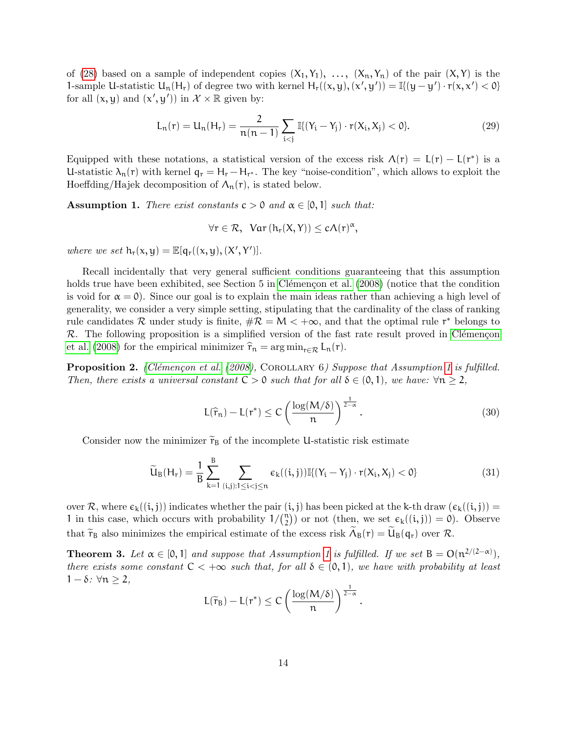of [\(28\)](#page-12-2) based on a sample of independent copies  $(X_1, Y_1), \ldots, (X_n, Y_n)$  of the pair  $(X, Y)$  is the 1-sample U-statistic  $U_n(H_r)$  of degree two with kernel  $H_r((x,y),(x',y')) = \mathbb{I}\{(y-y')\cdot r(x,x') < 0\}$ for all  $(x, y)$  and  $(x', y')$  in  $\mathcal{X} \times \mathbb{R}$  given by:

$$
L_n(r) = U_n(H_r) = \frac{2}{n(n-1)} \sum_{i < j} \mathbb{I}\{(Y_i - Y_j) \cdot r(X_i, X_j) < 0\}. \tag{29}
$$

Equipped with these notations, a statistical version of the excess risk  $\Lambda(r) = \mathcal{L}(r) - \mathcal{L}(r^*)$  is a U-statistic  $\lambda_n(r)$  with kernel  $q_r = H_r - H_{r^*}$ . The key "noise-condition", which allows to exploit the Hoeffding/Hajek decomposition of  $\Lambda_n(r)$ , is stated below.

<span id="page-13-0"></span>**Assumption 1.** There exist constants  $c > 0$  and  $\alpha \in [0, 1]$  such that:

$$
\forall r\in\mathcal{R},\ \text{Var}\left(h_r(X,Y)\right)\leq c\Lambda(r)^{\alpha},
$$

where we set  $h_r(x, y) = \mathbb{E}[q_r((x, y), (X', Y')].$ 

Recall incidentally that very general sufficient conditions guaranteeing that this assumption holds true have been exhibited, see Section 5 in Clémençon et al. [\(2008\)](#page-31-3) (notice that the condition is void for  $\alpha = 0$ ). Since our goal is to explain the main ideas rather than achieving a high level of generality, we consider a very simple setting, stipulating that the cardinality of the class of ranking rule candidates R under study is finite,  $\#\mathcal{R} = M < +\infty$ , and that the optimal rule r<sup>\*</sup> belongs to  $\mathcal{R}$ . The following proposition is a simplified version of the fast rate result proved in Clémençon [et al.](#page-31-3) [\(2008\)](#page-31-3) for the empirical minimizer  $\hat{r}_n = \arg \min_{r \in \mathcal{R}} L_n(r)$ .

**Proposition 2.** (Clémençon et al. [\(2008\)](#page-31-3), COROLLARY 6) Suppose that Assumption [1](#page-13-0) is fulfilled. Then, there exists a universal constant  $C > 0$  such that for all  $\delta \in (0,1)$ , we have:  $\forall n \geq 2$ ,

$$
L(\hat{r}_n) - L(r^*) \le C \left( \frac{\log(M/\delta)}{n} \right)^{\frac{1}{2-\alpha}}.
$$
\n(30)

Consider now the minimizer  $\tilde{r}_B$  of the incomplete U-statistic risk estimate

$$
\widetilde{U}_{B}(H_{r}) = \frac{1}{B} \sum_{k=1}^{B} \sum_{(i,j):1 \leq i < j \leq n} \varepsilon_{k}((i,j)) \mathbb{I}\{(Y_{i} - Y_{j}) \cdot r(X_{i}, X_{j}) < 0\} \tag{31}
$$

over R, where  $\varepsilon_k((i, j))$  indicates whether the pair  $(i, j)$  has been picked at the k-th draw  $(\varepsilon_k((i, j)) =$ 1 in this case, which occurs with probability  $1/\binom{n}{2}$  $\mathcal{L}_2^{(n)}$ ) or not (then, we set  $\mathcal{L}_k((i,j)) = 0$ ). Observe that  $\tilde{r}_B$  also minimizes the empirical estimate of the excess risk  $\Lambda_B(r) = U_B(q_r)$  over  $\mathcal{R}$ .

<span id="page-13-1"></span>**Theorem 3.** Let  $\alpha \in [0,1]$  and suppose that Assumption [1](#page-13-0) is fulfilled. If we set  $B = O(n^{2/(2-\alpha)})$ , there exists some constant  $C < +\infty$  such that, for all  $\delta \in (0,1)$ , we have with probability at least 1 − δ:  $\forall n \geq 2$ ,

$$
L(\widetilde{r}_B) - L(r^*) \leq C \left(\frac{\log(M/\delta)}{n}\right)^{\frac{1}{2-\alpha}}.
$$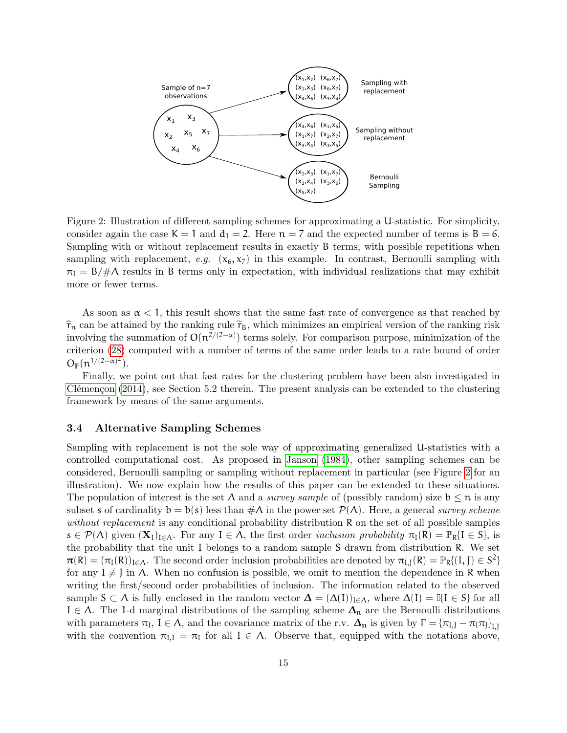

<span id="page-14-1"></span>Figure 2: Illustration of different sampling schemes for approximating a U-statistic. For simplicity, consider again the case  $K = 1$  and  $d_1 = 2$ . Here  $n = 7$  and the expected number of terms is  $B = 6$ . Sampling with or without replacement results in exactly B terms, with possible repetitions when sampling with replacement, e.g.  $(x_6, x_7)$  in this example. In contrast, Bernoulli sampling with  $\pi_I = B/\#\Lambda$  results in B terms only in expectation, with individual realizations that may exhibit more or fewer terms.

As soon as  $\alpha$  < 1, this result shows that the same fast rate of convergence as that reached by  $\hat{\tau}_n$  can be attained by the ranking rule  $\tilde{\tau}_B$ , which minimizes an empirical version of the ranking risk involving the summation of  $O(n^{2/(2-\alpha)})$  terms solely. For comparison purpose, minimization of the criterion [\(28\)](#page-12-2) computed with a number of terms of the same order leads to a rate bound of order  $O_{\mathbb{P}}(n^{1/(2-\alpha)^2}).$ 

Finally, we point out that fast rates for the clustering problem have been also investigated in Clémençon  $(2014)$ , see Section 5.2 therein. The present analysis can be extended to the clustering framework by means of the same arguments.

### <span id="page-14-0"></span>3.4 Alternative Sampling Schemes

Sampling with replacement is not the sole way of approximating generalized U-statistics with a controlled computational cost. As proposed in [Janson](#page-32-7) [\(1984\)](#page-32-7), other sampling schemes can be considered, Bernoulli sampling or sampling without replacement in particular (see Figure [2](#page-14-1) for an illustration). We now explain how the results of this paper can be extended to these situations. The population of interest is the set  $\Lambda$  and a *survey sample* of (possibly random) size  $b \leq n$  is any subset s of cardinality  $b = b(s)$  less than  $\#\Lambda$  in the power set  $\mathcal{P}(\Lambda)$ . Here, a general survey scheme without replacement is any conditional probability distribution R on the set of all possible samples  $s \in \mathcal{P}(\Lambda)$  given  $(\mathbf{X}_I)_{I \in \Lambda}$ . For any  $I \in \Lambda$ , the first order inclusion probability  $\pi_I(R) = \mathbb{P}_R\{I \in S\}$ , is the probability that the unit I belongs to a random sample S drawn from distribution R. We set  $\pi(R) = (\pi_I(R))_{I \in \Lambda}$ . The second order inclusion probabilities are denoted by  $\pi_{I,J}(R) = \mathbb{P}_R[(I, J) \in S^2]$ for any  $I \neq J$  in  $\Lambda$ . When no confusion is possible, we omit to mention the dependence in R when writing the first/second order probabilities of inclusion. The information related to the observed sample  $S \subset \Lambda$  is fully enclosed in the random vector  $\Delta = (\Delta(I))_{I \in \Lambda}$ , where  $\Delta(I) = \mathbb{I}\{I \in S\}$  for all I ∈  $\Lambda$ . The 1-d marginal distributions of the sampling scheme  $\Delta_n$  are the Bernoulli distributions with parameters  $\pi_I$ ,  $I \in \Lambda$ , and the covariance matrix of the r.v.  $\Delta_n$  is given by  $\Gamma = {\pi_{I,J}} - {\pi_I \pi_J}_{I,J}$ with the convention  $\pi_{I,I} = \pi_I$  for all  $I \in \Lambda$ . Observe that, equipped with the notations above,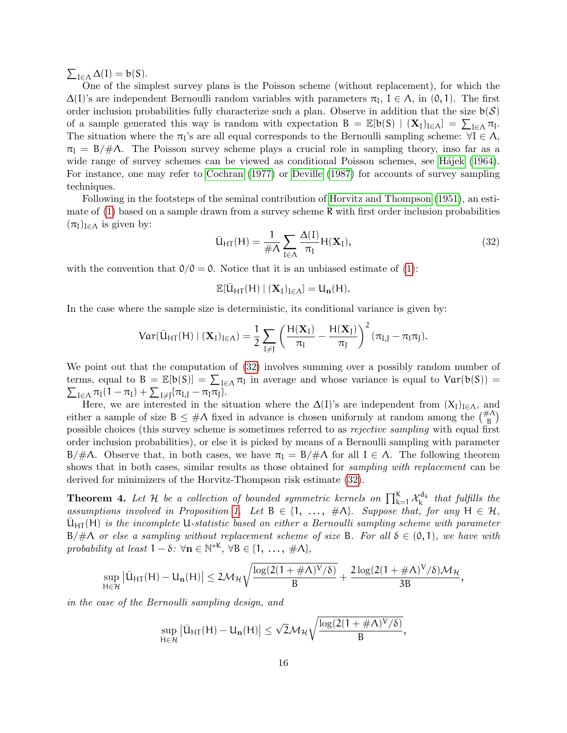$\sum_{I \in \Lambda} \Delta(I) = b(S).$ 

One of the simplest survey plans is the Poisson scheme (without replacement), for which the  $\Delta(I)$ 's are independent Bernoulli random variables with parameters  $\pi_I$ ,  $I \in \Lambda$ , in  $(0, 1)$ . The first order inclusion probabilities fully characterize such a plan. Observe in addition that the size  $b(S)$ of a sample generated this way is random with expectation  $B = \mathbb{E}[b(S) | (X_I)_{I \in \Lambda}] = \sum_{I \in \Lambda} \pi_I$ . The situation where the  $\pi_1$ 's are all equal corresponds to the Bernoulli sampling scheme:  $\forall I \in \Lambda$ ,  $\pi_I = B/\#\Lambda$ . The Poisson survey scheme plays a crucial role in sampling theory, inso far as a wide range of survey schemes can be viewed as conditional Poisson schemes, see Hájek [\(1964\)](#page-32-11). For instance, one may refer to [Cochran](#page-31-14) [\(1977\)](#page-31-14) or [Deville](#page-31-15) [\(1987\)](#page-31-15) for accounts of survey sampling techniques.

Following in the footsteps of the seminal contribution of [Horvitz and Thompson](#page-32-12) [\(1951\)](#page-32-12), an estimate of  $(1)$  based on a sample drawn from a survey scheme R with first order inclusion probabilities  $(\pi_I)_{I \in \Lambda}$  is given by:

<span id="page-15-0"></span>
$$
\bar{U}_{HT}(H) = \frac{1}{\#\Lambda} \sum_{I \in \Lambda} \frac{\Delta(I)}{\pi_I} H(\mathbf{X}_I),\tag{32}
$$

with the convention that  $0/0 = 0$ . Notice that it is an unbiased estimate of [\(1\)](#page-2-3):

$$
\mathbb{E}[\bar{U}_{HT}(H) \mid (\mathbf{X}_I)_{I \in \Lambda}] = U_{\mathbf{n}}(H).
$$

In the case where the sample size is deterministic, its conditional variance is given by:

$$
Var(\bar{U}_{HT}(H) | (\mathbf{X}_I)_{I \in \Lambda}) = \frac{1}{2} \sum_{I \neq J} \left( \frac{H(\mathbf{X}_I)}{\pi_I} - \frac{H(\mathbf{X}_J)}{\pi_J} \right)^2 (\pi_{I,J} - \pi_I \pi_J).
$$

We point out that the computation of [\(32\)](#page-15-0) involves summing over a possibly random number of terms, equal to  $B = \mathbb{E}[b(S)] = \sum_{I \in \Lambda} \pi_I$  in average and whose variance is equal to  $Var(b(S))$  $\sum_{I \in \Lambda} \pi_I (1 - \pi_I) + \sum_{I \neq J} {\pi_{I,J} - \pi_I \pi_J}.$ 

Here, we are interested in the situation where the  $\Delta(I)$ 's are independent from  $(X_I)_{I\in\Lambda}$ , and either a sample of size  $B \leq #\Lambda$  fixed in advance is chosen uniformly at random among the  $\binom{# \Lambda}{B}$ possible choices (this survey scheme is sometimes referred to as rejective sampling with equal first order inclusion probabilities), or else it is picked by means of a Bernoulli sampling with parameter B/#Λ. Observe that, in both cases, we have  $\pi_I = \frac{B}{\#}$  for all  $I \in \Lambda$ . The following theorem shows that in both cases, similar results as those obtained for *sampling with replacement* can be derived for minimizers of the Horvitz-Thompson risk estimate [\(32\)](#page-15-0).

<span id="page-15-1"></span>**Theorem 4.** Let H be a collection of bounded symmetric kernels on  $\prod_{k=1}^{K} \mathcal{X}_k^{d_k}$  that fulfills the assumptions involved in Proposition [1.](#page-6-3) Let  $B \in \{1, \ldots, \#A\}$ . Suppose that, for any  $H \in \mathcal{H}$ ,  $U_{\text{HT}}(H)$  is the incomplete U-statistic based on either a Bernoulli sampling scheme with parameter  $B/\#\Lambda$  or else a sampling without replacement scheme of size B. For all  $\delta \in (0,1)$ , we have with probability at least  $1 - \delta$ :  $\forall n \in \mathbb{N}^{*K}$ ,  $\forall B \in \{1, \ldots, \#\Lambda\}$ ,

$$
\sup_{H\in\mathcal{H}}\left|\bar{U}_{HT}(H)-U_{\mathbf{n}}(H)\right|\leq 2\mathcal{M}_{\mathcal{H}}\sqrt{\frac{\log(2(1+\#\Lambda)^{\mathsf{V}}/\delta)}{B}}+\frac{2\log(2(1+\#\Lambda)^{\mathsf{V}}/\delta)\mathcal{M}_{\mathcal{H}}}{3B},
$$

in the case of the Bernoulli sampling design, and

$$
\sup_{H\in\mathcal{H}}\left|\bar{U}_{HT}(H)-U_{\mathbf{n}}(H)\right|\leq\sqrt{2}\mathcal{M}_{\mathcal{H}}\sqrt{\frac{\log(2(1+\#\Lambda)^{V}/\delta)}{B}},
$$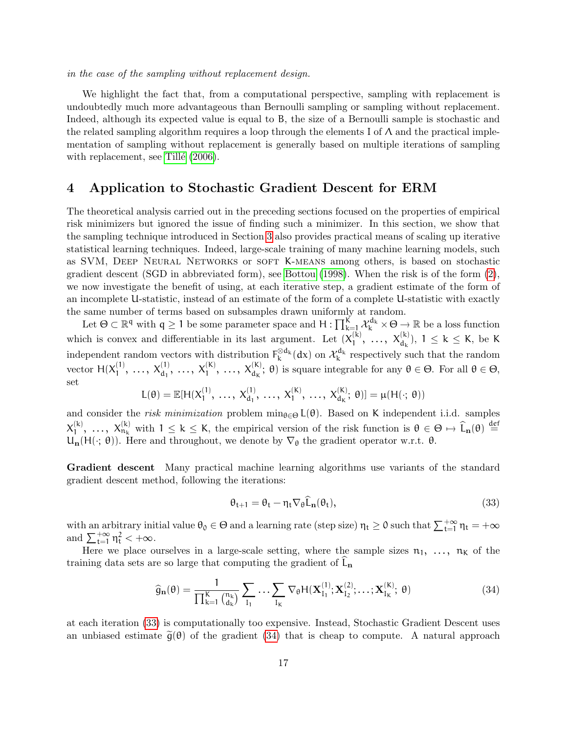in the case of the sampling without replacement design.

We highlight the fact that, from a computational perspective, sampling with replacement is undoubtedly much more advantageous than Bernoulli sampling or sampling without replacement. Indeed, although its expected value is equal to B, the size of a Bernoulli sample is stochastic and the related sampling algorithm requires a loop through the elements I of  $\Lambda$  and the practical implementation of sampling without replacement is generally based on multiple iterations of sampling with replacement, see Tillé [\(2006\)](#page-33-2).

### <span id="page-16-0"></span>4 Application to Stochastic Gradient Descent for ERM

The theoretical analysis carried out in the preceding sections focused on the properties of empirical risk minimizers but ignored the issue of finding such a minimizer. In this section, we show that the sampling technique introduced in Section [3](#page-7-0) also provides practical means of scaling up iterative statistical learning techniques. Indeed, large-scale training of many machine learning models, such as SVM, Deep Neural Networks or soft K-means among others, is based on stochastic gradient descent (SGD in abbreviated form), see [Bottou](#page-31-6) [\(1998\)](#page-31-6). When the risk is of the form [\(2\)](#page-3-2), we now investigate the benefit of using, at each iterative step, a gradient estimate of the form of an incomplete U-statistic, instead of an estimate of the form of a complete U-statistic with exactly the same number of terms based on subsamples drawn uniformly at random.

Let  $\Theta \subset \mathbb{R}^q$  with  $q \geq 1$  be some parameter space and  $H: \prod_{\substack{k=1 \ k \neq k}}^K \mathcal{X}_{k}^{d_k} \times \Theta \to \mathbb{R}$  be a loss function which is convex and differentiable in its last argument. Let  $(X_1^{(k)})$  $\mathcal{X}_1^{(k)}, \ldots, \mathcal{X}_{d_k}^{(k)}$ ),  $1 \leq k \leq K$ , be K independent random vectors with distribution  $F_k^{\otimes d_k}(dx)$  on  $\mathcal{X}_k^{d_k}$  respectively such that the random vector  $H(X_1^{(1)}$  $X_1^{(1)}, \ldots, X_{d_1}^{(1)}, \ldots, X_1^{(K)}, \ldots, X_{d_K}^{(K)}$ ;  $\theta$ ) is square integrable for any  $\theta \in \Theta$ . For all  $\theta \in \Theta$ , set

$$
L(\theta) = \mathbb{E}[H(X_1^{(1)},\ldots, X_{d_1}^{(1)},\ldots, X_1^{(K)},\ldots, X_{d_K}^{(K)};\theta)] = \mu(H(\cdot;\theta))
$$

and consider the risk minimization problem  $\min_{\theta \in \Theta} L(\theta)$ . Based on K independent i.i.d. samples  $\chi_1^{(k)}$ (k), ...,  $X_{n_k}^{(k)}$  with  $1 \leq k \leq K$ , the empirical version of the risk function is  $\theta \in \Theta \mapsto \widehat{L}_n(\theta) \stackrel{\text{def}}{=}$  $U_n(H(\cdot; \theta))$ . Here and throughout, we denote by  $\nabla_{\theta}$  the gradient operator w.r.t.  $\theta$ .

Gradient descent Many practical machine learning algorithms use variants of the standard gradient descent method, following the iterations:

<span id="page-16-1"></span>
$$
\theta_{t+1} = \theta_t - \eta_t \nabla_{\theta} \widehat{L}_{n}(\theta_t), \qquad (33)
$$

with an arbitrary initial value  $\theta_0 \in \Theta$  and a learning rate (step size)  $\eta_t \ge 0$  such that  $\sum_{t=1}^{+\infty} \eta_t = +\infty$ and  $\sum_{t=1}^{+\infty} \eta_t^2 < +\infty$ .

Here we place ourselves in a large-scale setting, where the sample sizes  $n_1, \ldots, n_k$  of the training data sets are so large that computing the gradient of  $L_n$ 

<span id="page-16-2"></span>
$$
\widehat{g}_{\mathbf{n}}(\theta) = \frac{1}{\prod_{k=1}^{K} {n_k \choose d_k}} \sum_{I_1} \cdots \sum_{I_K} \nabla_{\theta} H(\mathbf{X}_{I_1}^{(1)}; \mathbf{X}_{I_2}^{(2)}; \dots; \mathbf{X}_{I_K}^{(K)}; \theta)
$$
(34)

at each iteration [\(33\)](#page-16-1) is computationally too expensive. Instead, Stochastic Gradient Descent uses an unbiased estimate  $\tilde{g}(\theta)$  of the gradient [\(34\)](#page-16-2) that is cheap to compute. A natural approach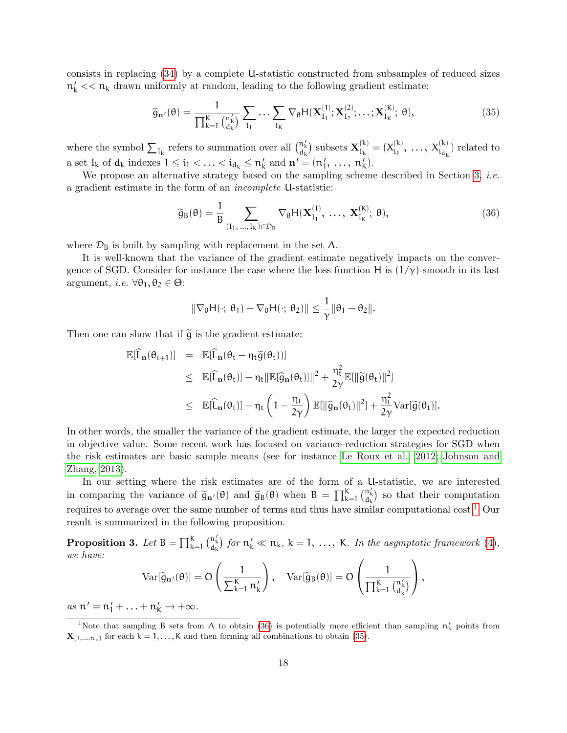consists in replacing [\(34\)](#page-16-2) by a complete U-statistic constructed from subsamples of reduced sizes  $n'_k \ll n_k$  drawn uniformly at random, leading to the following gradient estimate:

<span id="page-17-2"></span>
$$
\widetilde{\mathbf{g}}_{\mathbf{n}'}(\theta) = \frac{1}{\prod_{k=1}^{K} {n \choose d_k}} \sum_{I_1} \ldots \sum_{I_K} \nabla_{\theta} H(\mathbf{X}_{I_1}^{(1)}; \mathbf{X}_{I_2}^{(2)}; \ldots; \mathbf{X}_{I_K}^{(K)}; \theta),
$$
\n(35)

where the symbol  $\sum_{I_k}$  refers to summation over all  $\binom{n'_k}{d_k}$  subsets  $\mathbf{X}_{I_k}^{(k)}$  $I_{k}^{(k)} = (X_{i_1}^{(k)}$  $X_{i_1}^{(k)}, \ldots, X_{i_{d_k}}^{(k)}$  related to a set  $I_k$  of  $d_k$  indexes  $1 \leq i_1 < \ldots < i_{d_k} \leq n'_k$  and  $\mathbf{n}' = (n'_1, \ldots, n'_k)$ .

We propose an alternative strategy based on the sampling scheme described in Section [3,](#page-7-0) *i.e.* a gradient estimate in the form of an incomplete U-statistic:

<span id="page-17-1"></span>
$$
\widetilde{g}_{B}(\theta) = \frac{1}{B} \sum_{(I_1, \ldots, I_K) \in \mathcal{D}_B} \nabla_{\theta} H(\mathbf{X}_{I_1}^{(1)}, \ldots, \mathbf{X}_{I_K}^{(K)}; \theta),
$$
\n(36)

where  $\mathcal{D}_B$  is built by sampling with replacement in the set  $\Lambda$ .

It is well-known that the variance of the gradient estimate negatively impacts on the convergence of SGD. Consider for instance the case where the loss function H is  $(1/\gamma)$ -smooth in its last argument, *i.e.*  $\forall \theta_1, \theta_2 \in \Theta$ :

$$
\|\nabla_{\theta} H(\cdot; \, \theta_1) - \nabla_{\theta} H(\cdot; \, \theta_2)\| \leq \frac{1}{\gamma} \|\theta_1 - \theta_2\|.
$$

Then one can show that if  $\tilde{g}$  is the gradient estimate:

$$
\begin{array}{lcl} \mathbb{E}[\widehat{L}_{\mathbf{n}}(\theta_{t+1})] & = & \mathbb{E}[\widehat{L}_{\mathbf{n}}(\theta_t - \eta_t \widetilde{g}(\theta_t))] \\ \\ & \leq & \mathbb{E}[\widehat{L}_{\mathbf{n}}(\theta_t)] - \eta_t \| \mathbb{E}[\widehat{g}_{\mathbf{n}}(\theta_t)]\|^2 + \frac{\eta_t^2}{2\gamma} \mathbb{E}[\| \widetilde{g}(\theta_t)\|^2] \\ \\ & \leq & \mathbb{E}[\widehat{L}_{\mathbf{n}}(\theta_t)] - \eta_t \left(1 - \frac{\eta_t}{2\gamma}\right) \mathbb{E}[\| \widehat{g}_{\mathbf{n}}(\theta_t)\|^2] + \frac{\eta_t^2}{2\gamma} \mathrm{Var}[\widetilde{g}(\theta_t)]. \end{array}
$$

In other words, the smaller the variance of the gradient estimate, the larger the expected reduction in objective value. Some recent work has focused on variance-reduction strategies for SGD when the risk estimates are basic sample means (see for instance [Le Roux et al., 2012;](#page-32-13) [Johnson and](#page-32-14) [Zhang, 2013\)](#page-32-14).

In our setting where the risk estimates are of the form of a U-statistic, we are interested in comparing the variance of  $\tilde{g}_{n'}(\theta)$  and  $\tilde{g}_{B}(\theta)$  when  $B = \prod_{k=1}^{K} {n'_{k} \choose d_{k}}$  so that their computation requires to average over the same number of terms and thus have similar computational cost.[1](#page-17-0) Our result is summarized in the following proposition.

<span id="page-17-3"></span>**Proposition 3.** Let  $B = \prod_{k=1}^{K} {n'_{k} \choose d_{k}}$  for  $n'_{k} \ll n_{k}$ ,  $k = 1, \ldots, K$ . In the asymptotic framework [\(4\)](#page-3-3), we have:

$$
\mathrm{Var}[\widetilde{g}_{\mathbf{n}'}(\theta)]=O\left(\frac{1}{\sum_{k=1}^K n_k'}\right),\quad \mathrm{Var}[\widetilde{g}_B(\theta)]=O\left(\frac{1}{\prod_{k=1}^K {n_k' \choose d_k'}}\right),
$$

as  $n' = n'_1 + ... + n'_K \rightarrow +\infty$ .

<span id="page-17-0"></span><sup>&</sup>lt;sup>1</sup>Note that sampling B sets from  $\Lambda$  to obtain [\(36\)](#page-17-1) is potentially more efficient than sampling  $\pi'_k$  points from  $\mathbf{X}_{\{1,\ldots,n_k\}}$  for each  $k = 1,\ldots,K$  and then forming all combinations to obtain [\(35\)](#page-17-2).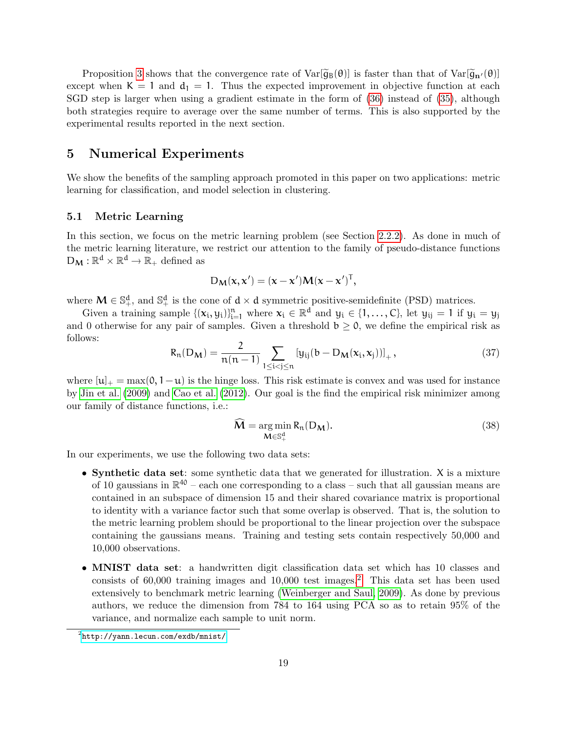Proposition [3](#page-17-3) shows that the convergence rate of  $Var[\tilde{g}_B(\theta)]$  is faster than that of  $Var[\tilde{g}_{B'}(\theta)]$ except when  $K = 1$  and  $d_1 = 1$ . Thus the expected improvement in objective function at each SGD step is larger when using a gradient estimate in the form of [\(36\)](#page-17-1) instead of [\(35\)](#page-17-2), although both strategies require to average over the same number of terms. This is also supported by the experimental results reported in the next section.

### <span id="page-18-0"></span>5 Numerical Experiments

We show the benefits of the sampling approach promoted in this paper on two applications: metric learning for classification, and model selection in clustering.

#### 5.1 Metric Learning

In this section, we focus on the metric learning problem (see Section [2.2.2\)](#page-4-2). As done in much of the metric learning literature, we restrict our attention to the family of pseudo-distance functions  $D_M : \mathbb{R}^d \times \mathbb{R}^d \to \mathbb{R}_+$  defined as

$$
D_{\mathbf{M}}(\mathbf{x}, \mathbf{x}') = (\mathbf{x} - \mathbf{x}')\mathbf{M}(\mathbf{x} - \mathbf{x}')^{\mathsf{T}},
$$

where  $M \in \mathbb{S}^d_+$ , and  $\mathbb{S}^d_+$  is the cone of  $d \times d$  symmetric positive-semidefinite (PSD) matrices.

Given a training sample  $\{(\mathbf{x}_i, y_i)\}_{i=1}^n$  where  $\mathbf{x}_i \in \mathbb{R}^d$  and  $y_i \in \{1, ..., C\}$ , let  $y_{ij} = 1$  if  $y_i = y_j$ and 0 otherwise for any pair of samples. Given a threshold  $b \ge 0$ , we define the empirical risk as follows:

<span id="page-18-2"></span>
$$
R_n(D_M) = \frac{2}{n(n-1)} \sum_{1 \le i < j \le n} [y_{ij}(b - D_M(x_i, x_j))]_+, \tag{37}
$$

where  $[u]_{+} = \max(0, 1-u)$  is the hinge loss. This risk estimate is convex and was used for instance by [Jin et al.](#page-32-5) [\(2009\)](#page-32-5) and [Cao et al.](#page-31-2) [\(2012\)](#page-31-2). Our goal is the find the empirical risk minimizer among our family of distance functions, i.e.:

<span id="page-18-3"></span>
$$
\widehat{M} = \underset{M \in \mathbb{S}_+^d}{\arg \min} R_n(D_M). \tag{38}
$$

In our experiments, we use the following two data sets:

- Synthetic data set: some synthetic data that we generated for illustration. X is a mixture of 10 gaussians in  $\mathbb{R}^{40}$  – each one corresponding to a class – such that all gaussian means are contained in an subspace of dimension 15 and their shared covariance matrix is proportional to identity with a variance factor such that some overlap is observed. That is, the solution to the metric learning problem should be proportional to the linear projection over the subspace containing the gaussians means. Training and testing sets contain respectively 50,000 and 10,000 observations.
- MNIST data set: a handwritten digit classification data set which has 10 classes and consists of  $60,000$  training images and  $10,000$  test images.<sup>[2](#page-18-1)</sup> This data set has been used extensively to benchmark metric learning [\(Weinberger and Saul, 2009\)](#page-33-3). As done by previous authors, we reduce the dimension from 784 to 164 using PCA so as to retain 95% of the variance, and normalize each sample to unit norm.

<span id="page-18-1"></span> $^{2}$ <http://yann.lecun.com/exdb/mnist/>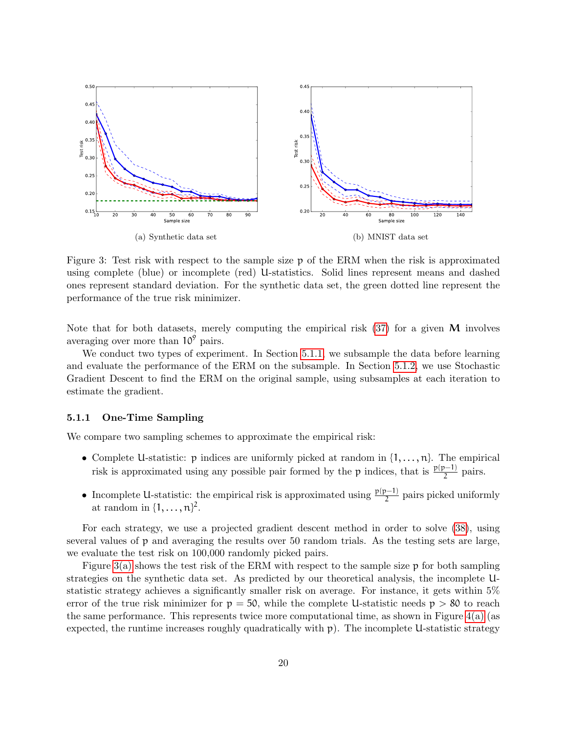<span id="page-19-1"></span>

<span id="page-19-2"></span>Figure 3: Test risk with respect to the sample size p of the ERM when the risk is approximated using complete (blue) or incomplete (red) U-statistics. Solid lines represent means and dashed ones represent standard deviation. For the synthetic data set, the green dotted line represent the performance of the true risk minimizer.

Note that for both datasets, merely computing the empirical risk  $(37)$  for a given M involves averaging over more than  $10^9$  pairs.

We conduct two types of experiment. In Section [5.1.1,](#page-19-0) we subsample the data before learning and evaluate the performance of the ERM on the subsample. In Section [5.1.2,](#page-20-0) we use Stochastic Gradient Descent to find the ERM on the original sample, using subsamples at each iteration to estimate the gradient.

#### <span id="page-19-0"></span>5.1.1 One-Time Sampling

We compare two sampling schemes to approximate the empirical risk:

- Complete U-statistic:  $p$  indices are uniformly picked at random in  $\{1, \ldots, n\}$ . The empirical risk is approximated using any possible pair formed by the p indices, that is  $\frac{p(p-1)}{2}$  pairs.
- Incomplete U-statistic: the empirical risk is approximated using  $\frac{p(p-1)}{2}$  pairs picked uniformly at random in  $\{1,\ldots,n\}^2$ .

For each strategy, we use a projected gradient descent method in order to solve [\(38\)](#page-18-3), using several values of p and averaging the results over 50 random trials. As the testing sets are large, we evaluate the test risk on 100,000 randomly picked pairs.

Figure  $3(a)$  shows the test risk of the ERM with respect to the sample size p for both sampling strategies on the synthetic data set. As predicted by our theoretical analysis, the incomplete Ustatistic strategy achieves a significantly smaller risk on average. For instance, it gets within 5% error of the true risk minimizer for  $p = 50$ , while the complete U-statistic needs  $p > 80$  to reach the same performance. This represents twice more computational time, as shown in Figure  $4(a)$  (as expected, the runtime increases roughly quadratically with  $p$ ). The incomplete U-statistic strategy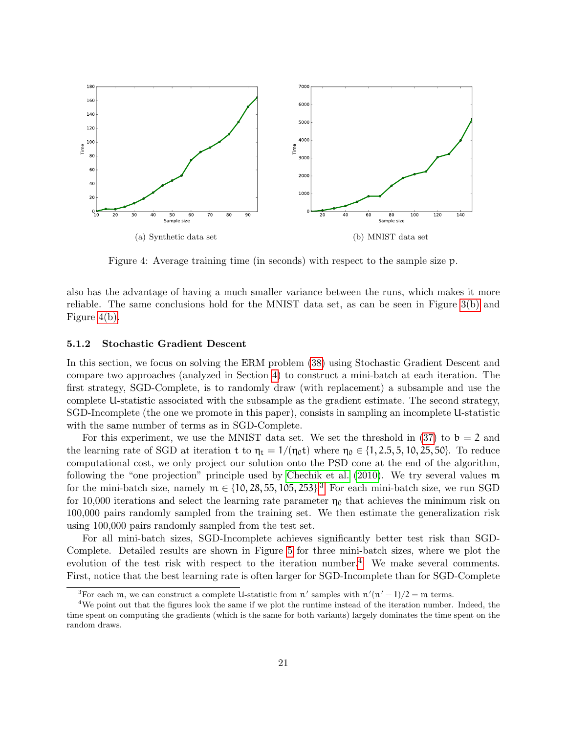<span id="page-20-1"></span>

<span id="page-20-2"></span>Figure 4: Average training time (in seconds) with respect to the sample size p.

also has the advantage of having a much smaller variance between the runs, which makes it more reliable. The same conclusions hold for the MNIST data set, as can be seen in Figure [3\(b\)](#page-19-2) and Figure [4\(b\).](#page-20-2)

#### <span id="page-20-0"></span>5.1.2 Stochastic Gradient Descent

In this section, we focus on solving the ERM problem [\(38\)](#page-18-3) using Stochastic Gradient Descent and compare two approaches (analyzed in Section [4\)](#page-16-0) to construct a mini-batch at each iteration. The first strategy, SGD-Complete, is to randomly draw (with replacement) a subsample and use the complete U-statistic associated with the subsample as the gradient estimate. The second strategy, SGD-Incomplete (the one we promote in this paper), consists in sampling an incomplete U-statistic with the same number of terms as in SGD-Complete.

For this experiment, we use the MNIST data set. We set the threshold in [\(37\)](#page-18-2) to  $b = 2$  and the learning rate of SGD at iteration t to  $\eta_t = 1/(\eta_0 t)$  where  $\eta_0 \in \{1, 2.5, 5, 10, 25, 50\}$ . To reduce computational cost, we only project our solution onto the PSD cone at the end of the algorithm, following the "one projection" principle used by [Chechik et al.](#page-31-16) [\(2010\)](#page-31-16). We try several values m for the mini-batch size, namely  $m \in \{10, 28, 55, 105, 253\}$  $m \in \{10, 28, 55, 105, 253\}$  $m \in \{10, 28, 55, 105, 253\}$ .<sup>3</sup> For each mini-batch size, we run SGD for 10,000 iterations and select the learning rate parameter  $\eta_0$  that achieves the minimum risk on 100,000 pairs randomly sampled from the training set. We then estimate the generalization risk using 100,000 pairs randomly sampled from the test set.

For all mini-batch sizes, SGD-Incomplete achieves significantly better test risk than SGD-Complete. Detailed results are shown in Figure [5](#page-21-0) for three mini-batch sizes, where we plot the evolution of the test risk with respect to the iteration number.<sup>[4](#page-20-4)</sup> We make several comments. First, notice that the best learning rate is often larger for SGD-Incomplete than for SGD-Complete

<span id="page-20-4"></span><span id="page-20-3"></span><sup>&</sup>lt;sup>3</sup>For each m, we can construct a complete U-statistic from n' samples with  $n'(n'-1)/2 = m$  terms.

<sup>&</sup>lt;sup>4</sup>We point out that the figures look the same if we plot the runtime instead of the iteration number. Indeed, the time spent on computing the gradients (which is the same for both variants) largely dominates the time spent on the random draws.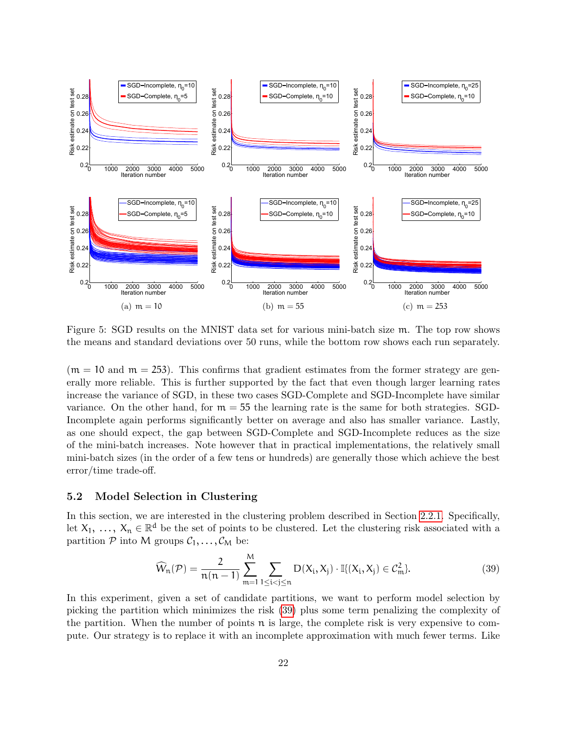

<span id="page-21-0"></span>Figure 5: SGD results on the MNIST data set for various mini-batch size m. The top row shows the means and standard deviations over 50 runs, while the bottom row shows each run separately.

 $(m = 10 \text{ and } m = 253)$ . This confirms that gradient estimates from the former strategy are generally more reliable. This is further supported by the fact that even though larger learning rates increase the variance of SGD, in these two cases SGD-Complete and SGD-Incomplete have similar variance. On the other hand, for  $m = 55$  the learning rate is the same for both strategies. SGD-Incomplete again performs significantly better on average and also has smaller variance. Lastly, as one should expect, the gap between SGD-Complete and SGD-Incomplete reduces as the size of the mini-batch increases. Note however that in practical implementations, the relatively small mini-batch sizes (in the order of a few tens or hundreds) are generally those which achieve the best error/time trade-off.

### 5.2 Model Selection in Clustering

In this section, we are interested in the clustering problem described in Section [2.2.1.](#page-3-4) Specifically, let  $X_1, \ldots, X_n \in \mathbb{R}^d$  be the set of points to be clustered. Let the clustering risk associated with a partition  $P$  into M groups  $C_1, \ldots, C_M$  be:

<span id="page-21-1"></span>
$$
\widehat{W}_n(\mathcal{P}) = \frac{2}{n(n-1)} \sum_{m=1}^{M} \sum_{1 \le i < j \le n} D(X_i, X_j) \cdot \mathbb{I}\{(X_i, X_j) \in \mathcal{C}_m^2\}. \tag{39}
$$

In this experiment, given a set of candidate partitions, we want to perform model selection by picking the partition which minimizes the risk [\(39\)](#page-21-1) plus some term penalizing the complexity of the partition. When the number of points  $\pi$  is large, the complete risk is very expensive to compute. Our strategy is to replace it with an incomplete approximation with much fewer terms. Like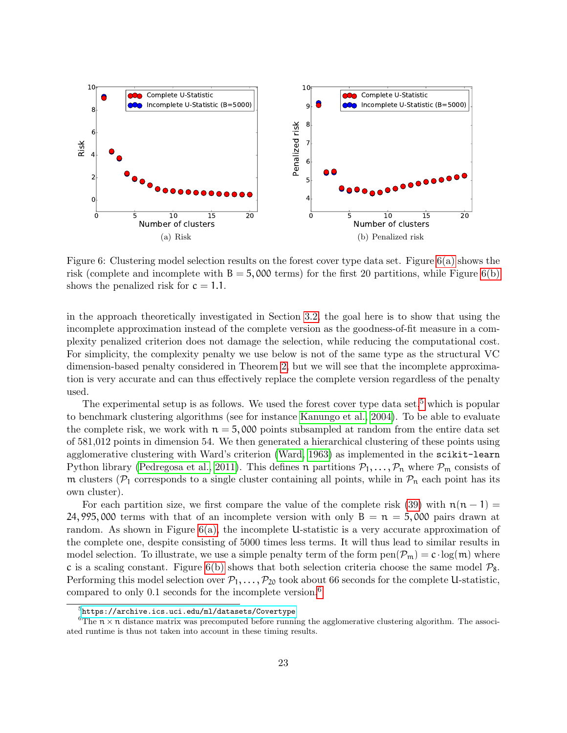<span id="page-22-0"></span>

<span id="page-22-1"></span>Figure 6: Clustering model selection results on the forest cover type data set. Figure [6\(a\)](#page-22-0) shows the risk (complete and incomplete with  $B = 5,000$  terms) for the first 20 partitions, while Figure [6\(b\)](#page-22-1) shows the penalized risk for  $c = 1.1$ .

in the approach theoretically investigated in Section [3.2,](#page-11-0) the goal here is to show that using the incomplete approximation instead of the complete version as the goodness-of-fit measure in a complexity penalized criterion does not damage the selection, while reducing the computational cost. For simplicity, the complexity penalty we use below is not of the same type as the structural VC dimension-based penalty considered in Theorem [2,](#page-12-3) but we will see that the incomplete approximation is very accurate and can thus effectively replace the complete version regardless of the penalty used.

The experimental setup is as follows. We used the forest cover type data set,<sup>[5](#page-22-2)</sup> which is popular to benchmark clustering algorithms (see for instance [Kanungo et al., 2004\)](#page-32-15). To be able to evaluate the complete risk, we work with  $n = 5,000$  points subsampled at random from the entire data set of 581,012 points in dimension 54. We then generated a hierarchical clustering of these points using agglomerative clustering with Ward's criterion [\(Ward, 1963\)](#page-33-4) as implemented in the scikit-learn Python library [\(Pedregosa et al., 2011\)](#page-33-5). This defines n partitions  $P_1, \ldots, P_n$  where  $P_m$  consists of m clusters ( $\mathcal{P}_1$  corresponds to a single cluster containing all points, while in  $\mathcal{P}_n$  each point has its own cluster).

For each partition size, we first compare the value of the complete risk [\(39\)](#page-21-1) with  $\mathfrak{n}(\mathfrak{n} - 1) =$ 24, 995, 000 terms with that of an incomplete version with only  $B = \pi = 5,000$  pairs drawn at random. As shown in Figure  $6(a)$ , the incomplete U-statistic is a very accurate approximation of the complete one, despite consisting of 5000 times less terms. It will thus lead to similar results in model selection. To illustrate, we use a simple penalty term of the form  $pen(\mathcal{P}_m) = c \cdot log(m)$  where c is a scaling constant. Figure [6\(b\)](#page-22-1) shows that both selection criteria choose the same model  $\mathcal{P}_8$ . Performing this model selection over  $P_1, \ldots, P_{20}$  took about 66 seconds for the complete U-statistic, compared to only 0.1 seconds for the incomplete version.[6](#page-22-3)

<span id="page-22-3"></span><span id="page-22-2"></span> $^5$ <https://archive.ics.uci.edu/ml/datasets/Covertype>

<sup>&</sup>lt;sup>6</sup>The  $n \times n$  distance matrix was precomputed before running the agglomerative clustering algorithm. The associ-ated runtime is thus not taken into account in these timing results.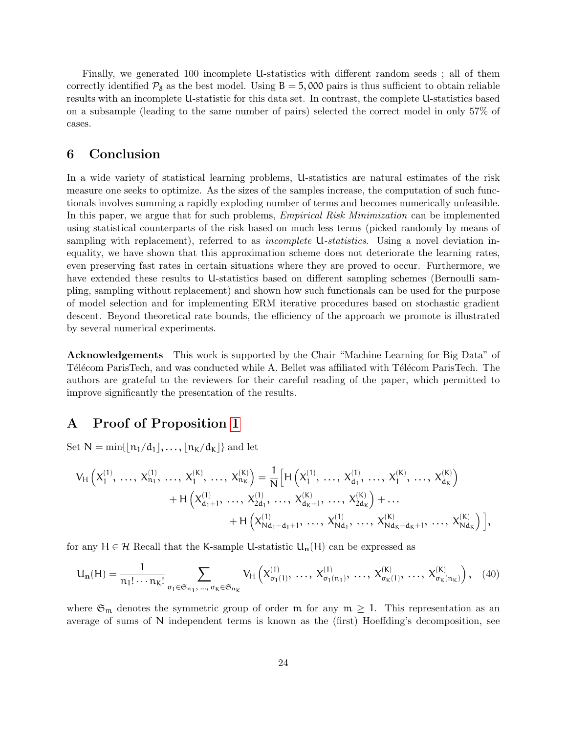Finally, we generated 100 incomplete U-statistics with different random seeds ; all of them correctly identified  $\mathcal{P}_8$  as the best model. Using  $B = 5,000$  pairs is thus sufficient to obtain reliable results with an incomplete U-statistic for this data set. In contrast, the complete U-statistics based on a subsample (leading to the same number of pairs) selected the correct model in only 57% of cases.

### <span id="page-23-0"></span>6 Conclusion

In a wide variety of statistical learning problems, U-statistics are natural estimates of the risk measure one seeks to optimize. As the sizes of the samples increase, the computation of such functionals involves summing a rapidly exploding number of terms and becomes numerically unfeasible. In this paper, we argue that for such problems, *Empirical Risk Minimization* can be implemented using statistical counterparts of the risk based on much less terms (picked randomly by means of sampling with replacement), referred to as *incomplete* U-statistics. Using a novel deviation inequality, we have shown that this approximation scheme does not deteriorate the learning rates, even preserving fast rates in certain situations where they are proved to occur. Furthermore, we have extended these results to U-statistics based on different sampling schemes (Bernoulli sampling, sampling without replacement) and shown how such functionals can be used for the purpose of model selection and for implementing ERM iterative procedures based on stochastic gradient descent. Beyond theoretical rate bounds, the efficiency of the approach we promote is illustrated by several numerical experiments.

Acknowledgements This work is supported by the Chair "Machine Learning for Big Data" of Télécom ParisTech, and was conducted while A. Bellet was affiliated with Télécom ParisTech. The authors are grateful to the reviewers for their careful reading of the paper, which permitted to improve significantly the presentation of the results.

### <span id="page-23-1"></span>A Proof of Proposition [1](#page-6-3)

Set  $N = \min\{|n_1/d_1|, \ldots, |n_K/d_K|\}$  and let

$$
V_{H}\left(X_{1}^{(1)},\, \ldots,\, X_{n_{1}}^{(1)},\, \ldots,\, X_{1}^{(K)},\, \ldots,\, X_{n_{K}}^{(K)}\right)=\frac{1}{N}\Big[H\left(X_{1}^{(1)},\, \ldots,\, X_{d_{1}}^{(1)},\, \ldots,\, X_{1}^{(K)},\, \ldots,\, X_{d_{K}}^{(K)}\right)\\
+H\left(X_{d_{1}+1}^{(1)},\, \ldots,\, X_{2d_{1}}^{(1)},\, \ldots,\, X_{d_{K}+1}^{(K)},\, \ldots,\, X_{2d_{K}}^{(K)}\right)+\ldots\\
+H\left(X_{Nd_{1}-d_{1}+1}^{(1)},\, \ldots,\, X_{Nd_{1}}^{(1)},\, \ldots,\, X_{Nd_{K}-d_{K}+1}^{(K)},\, \ldots,\, X_{Nd_{K}}^{(K)}\right)\Big],
$$

for any  $H \in \mathcal{H}$  Recall that the K-sample U-statistic  $U_n(H)$  can be expressed as

$$
U_{\mathbf{n}}(H) = \frac{1}{n_1! \cdots n_K!} \sum_{\sigma_1 \in \mathfrak{S}_{n_1}, \dots, \sigma_K \in \mathfrak{S}_{n_K}} V_H\left(X_{\sigma_1(1)}^{(1)}, \dots, X_{\sigma_1(n_1)}^{(1)}, \dots, X_{\sigma_K(1)}^{(K)}, \dots, X_{\sigma_K(n_K)}^{(K)}\right), \quad (40)
$$

where  $\mathfrak{S}_m$  denotes the symmetric group of order m for any  $m \geq 1$ . This representation as an average of sums of N independent terms is known as the (first) Hoeffding's decomposition, see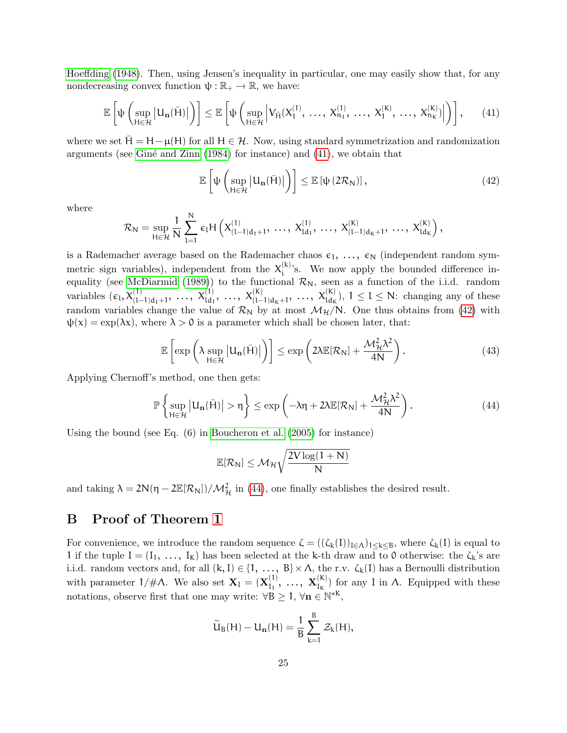[Hoeffding](#page-32-3) [\(1948\)](#page-32-3). Then, using Jensen's inequality in particular, one may easily show that, for any nondecreasing convex function  $\psi : \mathbb{R}_+ \to \mathbb{R}$ , we have:

<span id="page-24-1"></span>
$$
\mathbb{E}\left[\psi\left(\sup_{H\in\mathcal{H}}\left|U_{\mathbf{n}}(\bar{H})\right|\right)\right]\leq\mathbb{E}\left[\psi\left(\sup_{H\in\mathcal{H}}\left|V_{\bar{H}}(X_{1}^{(1)},\ \ldots,\ X_{n_{1}}^{(1)},\ \ldots,\ X_{1}^{(K)},\ \ldots,\ X_{n_{K}}^{(K)})\right|\right)\right],\qquad(41)
$$

where we set  $H = H - \mu(H)$  for all  $H \in \mathcal{H}$ . Now, using standard symmetrization and randomization arguments (see Giné and Zinn  $(1984)$  for instance) and  $(41)$ , we obtain that

<span id="page-24-2"></span>
$$
\mathbb{E}\left[\psi\left(\sup_{H\in\mathcal{H}}\left|U_{n}(\bar{H})\right|\right)\right]\leq\mathbb{E}\left[\psi\left(2\mathcal{R}_{N}\right)\right],\tag{42}
$$

where

$$
\mathcal{R}_N = \sup_{H \in \mathcal{H}} \frac{1}{N} \sum_{l=1}^N \, \varepsilon_l H\left(X_{(l-1)d_1+1}^{(1)},\, \ldots,\, X_{ld_1}^{(1)},\, \ldots,\, X_{(l-1)d_K+1}^{(K)},\, \ldots,\, X_{ld_K}^{(K)}\right),
$$

is a Rademacher average based on the Rademacher chaos  $\varepsilon_1, \ldots, \varepsilon_N$  (independent random symmetric sign variables), independent from the  $X_i^{(k)}$  $i^{(k)}$ 's. We now apply the bounded difference in-equality (see [McDiarmid](#page-33-6) [\(1989\)](#page-33-6)) to the functional  $\mathcal{R}_{N}$ , seen as a function of the i.i.d. random variables  $(\epsilon_1, X_{(l-1)d_1+1}^{(1)}, \ldots, X_{ld_1}^{(1)}, \ldots, X_{(l-1)d_k+1}^{(K)}, \ldots, X_{ld_k}^{(K)}), 1 \leq l \leq N$ : changing any of these random variables change the value of  $\mathcal{R}_{N}$  by at most  $\mathcal{M}_{\mathcal{H}}/N$ . One thus obtains from [\(42\)](#page-24-2) with  $\psi(x) = \exp(\lambda x)$ , where  $\lambda > 0$  is a parameter which shall be chosen later, that:

$$
\mathbb{E}\left[\exp\left(\lambda \sup_{H\in\mathcal{H}}\left|U_{n}(\bar{H})\right|\right)\right] \leq \exp\left(2\lambda \mathbb{E}[\mathcal{R}_{N}] + \frac{\mathcal{M}_{\mathcal{H}}^{2}\lambda^{2}}{4N}\right).
$$
\n(43)

Applying Chernoff's method, one then gets:

<span id="page-24-3"></span>
$$
\mathbb{P}\left\{\sup_{H\in\mathcal{H}}\left|U_{\mathbf{n}}(\bar{H})\right|>\eta\right\}\leq\exp\left(-\lambda\eta+2\lambda\mathbb{E}[\mathcal{R}_{N}]+\frac{\mathcal{M}_{\mathcal{H}}^{2}\lambda^{2}}{4N}\right).
$$
\n(44)

Using the bound (see Eq. (6) in [Boucheron et al.](#page-31-17) [\(2005\)](#page-31-17) for instance)

$$
\mathbb{E}[\mathcal{R}_{\mathrm{N}}]\leq \mathcal{M}_{\mathcal{H}}\sqrt{\frac{2\mathrm{V}\log(1+\mathrm{N})}{\mathrm{N}}}
$$

and taking  $\lambda = 2N(\eta - 2\mathbb{E}[\mathcal{R}_N])/\mathcal{M}_{\mathcal{H}}^2$  in [\(44\)](#page-24-3), one finally establishes the desired result.

### <span id="page-24-0"></span>B Proof of Theorem [1](#page-9-0)

For convenience, we introduce the random sequence  $\zeta = ((\zeta_k(I))_{I \in \Lambda})_{1 \leq k \leq B}$ , where  $\zeta_k(I)$  is equal to 1 if the tuple  $I = (I_1, \ldots, I_k)$  has been selected at the k-th draw and to 0 otherwise: the  $\zeta_k$ 's are i.i.d. random vectors and, for all  $(k, I) \in \{1, ..., B\} \times \Lambda$ , the r.v.  $\zeta_k(I)$  has a Bernoulli distribution with parameter  $1/\#\Lambda$ . We also set  $\mathbf{X}_{I} = (\mathbf{X}_{I}^{(1)})$  ${\bf X}_{\rm I_1}^{(1)},\; \ldots,\; {\bf X}_{\rm I_K}^{(\rm K)}$  $\binom{N}{I_{\kappa}}$  for any I in  $\Lambda$ . Equipped with these notations, observe first that one may write:  $\forall B \geq 1, \forall n \in \mathbb{N}^{*K}$ ,

$$
\widetilde{U}_B(H)-U_{\mathbf{n}}(H)=\frac{1}{B}\sum_{k=1}^B\mathcal{Z}_k(H),
$$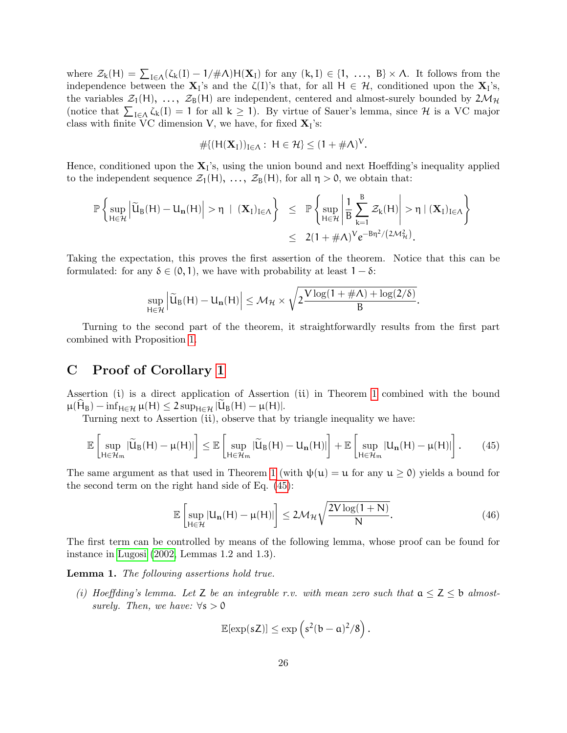where  $\mathcal{Z}_k(H) = \sum_{I \in \Lambda} (\zeta_k(I) - 1/\#\Lambda) H(\mathbf{X}_I)$  for any  $(k, I) \in \{1, \ldots, B\} \times \Lambda$ . It follows from the independence between the  $X_l$ 's and the  $\zeta(l)$ 's that, for all  $H \in \mathcal{H}$ , conditioned upon the  $X_l$ 's, the variables  $\mathcal{Z}_1(H)$ , ...,  $\mathcal{Z}_B(H)$  are independent, centered and almost-surely bounded by  $2\mathcal{M}_{\mathcal{H}}$ (notice that  $\sum_{I \in \Lambda} \zeta_k(I) = 1$  for all  $k \geq 1$ ). By virtue of Sauer's lemma, since H is a VC major class with finite VC dimension V, we have, for fixed  $X_{I}$ 's:

$$
\# \{ (H(\mathbf{X}_I))_{I \in \Lambda}: \ H \in \mathcal{H} \} \leq (1 + \# \Lambda)^V.
$$

Hence, conditioned upon the  $X<sub>I</sub>$ 's, using the union bound and next Hoeffding's inequality applied to the independent sequence  $\mathcal{Z}_1(H)$ , ...,  $\mathcal{Z}_B(H)$ , for all  $\eta > 0$ , we obtain that:

$$
\mathbb{P}\left\{\sup_{H\in\mathcal{H}}\left|\widetilde{u}_B(H)-U_{\mathbf{n}}(H)\right|>\eta\;\mid\;(\mathbf{X}_I)_{I\in\Lambda}\right\}\;\;\leq\;\;\mathbb{P}\left\{\sup_{H\in\mathcal{H}}\left|\frac{1}{B}\sum_{k=1}^B\mathcal{Z}_k(H)\right|>\eta\;\mid\;(\mathbf{X}_I)_{I\in\Lambda}\right\}\\qquad \qquad \leq\;\;2(1+\#\Lambda)^V e^{-B\eta^2/(2\mathcal{M}_\mathcal{H}^2)}.
$$

Taking the expectation, this proves the first assertion of the theorem. Notice that this can be formulated: for any  $\delta \in (0, 1)$ , we have with probability at least  $1 - \delta$ :

$$
\sup_{H\in\mathcal{H}}\left|\widetilde{U}_B(H)-U_{\mathbf{n}}(H)\right|\leq\mathcal{M}_{\mathcal{H}}\times\sqrt{2\frac{V\log(1+\#\Lambda)+\log(2/\delta)}{B}}.
$$

Turning to the second part of the theorem, it straightforwardly results from the first part combined with Proposition [1.](#page-6-3)

### <span id="page-25-0"></span>C Proof of Corollary [1](#page-10-1)

Assertion (i) is a direct application of Assertion (ii) in Theorem [1](#page-9-0) combined with the bound  $\mu(H_B) - \inf_{H \in \mathcal{H}} \mu(H) \leq 2 \sup_{H \in \mathcal{H}} |U_B(H) - \mu(H)|.$ 

Turning next to Assertion (ii), observe that by triangle inequality we have:

<span id="page-25-1"></span>
$$
\mathbb{E}\left[\sup_{H\in\mathcal{H}_m}|\widetilde{U}_B(H) - \mu(H)|\right] \leq \mathbb{E}\left[\sup_{H\in\mathcal{H}_m}|\widetilde{U}_B(H) - U_n(H)|\right] + \mathbb{E}\left[\sup_{H\in\mathcal{H}_m}|U_n(H) - \mu(H)|\right].\tag{45}
$$

The same argument as that used in Theorem [1](#page-9-0) (with  $\psi(\mathfrak{u}) = \mathfrak{u}$  for any  $\mathfrak{u} \ge 0$ ) yields a bound for the second term on the right hand side of Eq. [\(45\)](#page-25-1):

<span id="page-25-2"></span>
$$
\mathbb{E}\left[\sup_{H\in\mathcal{H}}|U_{\mathbf{n}}(H)-\mu(H)|\right]\leq 2\mathcal{M}_{\mathcal{H}}\sqrt{\frac{2V\log(1+N)}{N}}.\tag{46}
$$

The first term can be controlled by means of the following lemma, whose proof can be found for instance in [Lugosi](#page-32-17) [\(2002,](#page-32-17) Lemmas 1.2 and 1.3).

Lemma 1. The following assertions hold true.

(i) Hoeffding's lemma. Let Z be an integrable r.v. with mean zero such that  $a \leq Z \leq b$  almostsurely. Then, we have:  $\forall s > 0$ 

$$
\mathbb{E}[\exp(sZ)] \leq \exp\left(s^2(b-a)^2/8\right).
$$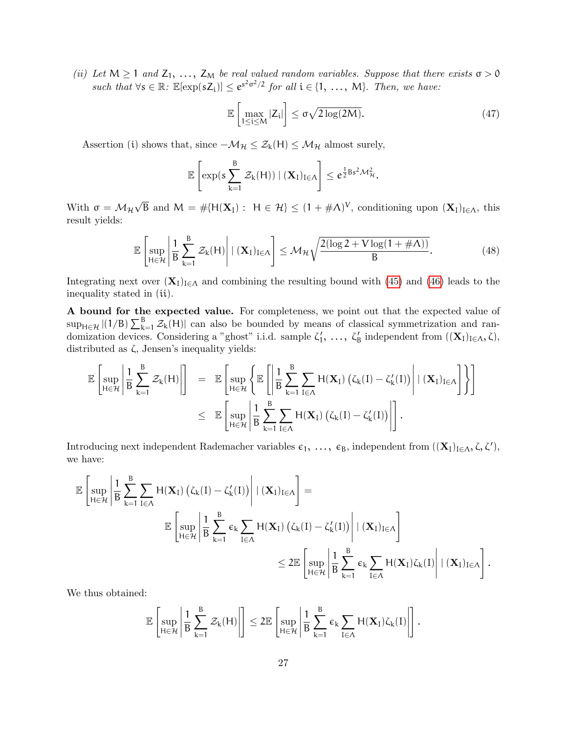(ii) Let  $M \ge 1$  and  $Z_1, \ldots, Z_M$  be real valued random variables. Suppose that there exists  $\sigma > 0$ such that  $\forall s \in \mathbb{R}$ :  $\mathbb{E}[\exp(sZ_i)] \leq e^{s^2 \sigma^2/2}$  for all  $i \in \{1, ..., M\}$ . Then, we have:

$$
\mathbb{E}\left[\max_{1 \le i \le M} |Z_i|\right] \le \sigma \sqrt{2\log(2M)}.\tag{47}
$$

Assertion (i) shows that, since  $-\mathcal{M}_{\mathcal{H}} \leq \mathcal{Z}_{k}(H) \leq \mathcal{M}_{\mathcal{H}}$  almost surely,

$$
\mathbb{E}\left[\exp(s\sum_{k=1}^B \mathcal{Z}_k(H)) \mid (\mathbf{X}_I)_{I\in\Lambda}\right] \leq e^{\frac{1}{2}Bs^2\mathcal{M}_{\mathcal{H}}^2}.
$$

With  $\sigma = \mathcal{M}_{\mathcal{H}}$ √  $\overline{B}$  and  $M = \# \{H(\mathbf{X}_I): H \in \mathcal{H}\} \leq (1 + \# \Lambda)^V$ , conditioning upon  $(\mathbf{X}_I)_{I \in \Lambda}$ , this result yields:

$$
\mathbb{E}\left[\sup_{H\in\mathcal{H}}\left|\frac{1}{B}\sum_{k=1}^{B}\mathcal{Z}_{k}(H)\right| \mid (\mathbf{X}_{I})_{I\in\Lambda}\right] \leq \mathcal{M}_{\mathcal{H}}\sqrt{\frac{2(\log 2 + V\log(1+\#\Lambda))}{B}}.\tag{48}
$$

Integrating next over  $(X_I)_{I\in\Lambda}$  and combining the resulting bound with [\(45\)](#page-25-1) and [\(46\)](#page-25-2) leads to the inequality stated in (ii).

A bound for the expected value. For completeness, we point out that the expected value of  $\sup_{H \in \mathcal{H}} |(1/B) \sum_{k=1}^{B} \mathcal{Z}_k(H)|$  can also be bounded by means of classical symmetrization and randomization devices. Considering a "ghost" i.i.d. sample  $\zeta'_1, \ldots, \zeta'_B$  independent from  $((\mathbf{X}_I)_{I \in \Lambda}, \zeta)$ , distributed as ζ, Jensen's inequality yields:

$$
\mathbb{E}\left[\sup_{H\in\mathcal{H}}\left|\frac{1}{B}\sum_{k=1}^{B}\mathcal{Z}_{k}(H)\right|\right] \;\;=\;\; \mathbb{E}\left[\sup_{H\in\mathcal{H}}\left\{\mathbb{E}\left[\left|\frac{1}{B}\sum_{k=1}^{B}\sum_{I\in\Lambda}H(\mathbf{X}_{I})\left(\zeta_{k}(I)-\zeta_{k}'(I)\right)\right| \mid (\mathbf{X}_{I})_{I\in\Lambda}\right]\right\}\right] \\qquad \qquad \leq \;\; \mathbb{E}\left[\sup_{H\in\mathcal{H}}\left|\frac{1}{B}\sum_{k=1}^{B}\sum_{I\in\Lambda}H(\mathbf{X}_{I})\left(\zeta_{k}(I)-\zeta_{k}'(I)\right)\right|\right].
$$

Introducing next independent Rademacher variables  $\varepsilon_1, \ldots, \varepsilon_B$ , independent from  $((\mathbf{X}_{\mathrm{I}})_{\mathrm{I}\in\Lambda}, \zeta, \zeta')$ , we have:

$$
\begin{aligned} \mathbb{E}\left[\sup_{H\in\mathcal{H}}\left|\frac{1}{B}\sum_{k=1}^{B}\sum_{I\in\Lambda}H(\mathbf{X}_I)\left(\zeta_k(I)-\zeta_k'(I)\right)\right| \mid & (\mathbf{X}_I)_{I\in\Lambda}\right] = \\ & \mathbb{E}\left[\sup_{H\in\mathcal{H}}\left|\frac{1}{B}\sum_{k=1}^{B}\varepsilon_k\sum_{I\in\Lambda}H(\mathbf{X}_I)\left(\zeta_k(I)-\zeta_k'(I)\right)\right| \mid & (\mathbf{X}_I)_{I\in\Lambda}\right] \\ & \leq 2\mathbb{E}\left[\sup_{H\in\mathcal{H}}\left|\frac{1}{B}\sum_{k=1}^{B}\varepsilon_k\sum_{I\in\Lambda}H(\mathbf{X}_I)\zeta_k(I)\right| \mid & (\mathbf{X}_I)_{I\in\Lambda}\right]. \end{aligned}
$$

We thus obtained:

$$
\mathbb{E}\left[\sup_{H\in\mathcal{H}}\left|\frac{1}{B}\sum_{k=1}^{B}\mathcal{Z}_k(H)\right|\right]\leq 2\mathbb{E}\left[\sup_{H\in\mathcal{H}}\left|\frac{1}{B}\sum_{k=1}^{B}\varepsilon_k\sum_{I\in\Lambda}H(\mathbf{X}_I)\zeta_k(I)\right|\right].
$$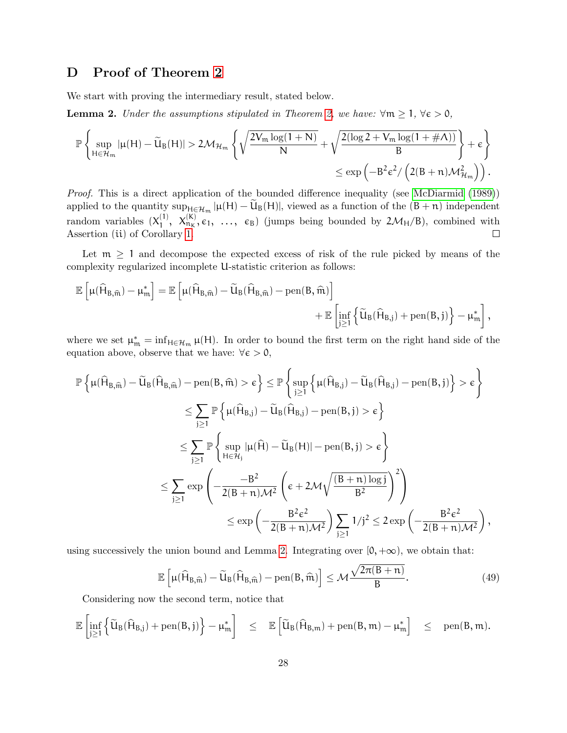# <span id="page-27-0"></span>D Proof of Theorem [2](#page-12-3)

We start with proving the intermediary result, stated below.

<span id="page-27-1"></span>**Lemma 2.** Under the assumptions stipulated in Theorem [2,](#page-12-3) we have:  $\forall m \geq 1, \forall \epsilon > 0$ ,

$$
\mathbb{P}\left\{\sup_{H\in\mathcal{H}_m}|\mu(H)-\widetilde{U}_B(H)|>2\mathcal{M}_{\mathcal{H}_m}\left\{\sqrt{\frac{2V_m\log(1+N)}{N}}+\sqrt{\frac{2(\log 2+V_m\log(1+\#\Lambda))}{B}}\right\}+\varepsilon\right\}\\ \leq \exp\left(-B^2\varepsilon^2/\left(2(B+n)\mathcal{M}_{\mathcal{H}_m}^2\right)\right).
$$

Proof. This is a direct application of the bounded difference inequality (see [McDiarmid](#page-33-6) [\(1989\)](#page-33-6)) applied to the quantity  $\sup_{H \in \mathcal{H}_m} |\mu(H) - \mathsf{U}_{\mathsf{B}}(H)|$ , viewed as a function of the  $(\mathsf{B} + \mathsf{n})$  independent random variables  $(X_1^{(1)}$  $X_{1}^{(1)}, X_{n_{K}}^{(K)}, \epsilon_{1}, \ldots, \epsilon_{B}$  (jumps being bounded by  $2\mathcal{M}_{H}/B$ ), combined with Assertion (ii) of Corollary [1.](#page-10-1)  $\Box$ 

Let  $m \geq 1$  and decompose the expected excess of risk of the rule picked by means of the complexity regularized incomplete U-statistic criterion as follows:

$$
\begin{aligned} \mathbb{E}\left[\mu(\widehat{H}_{B,\widehat{\boldsymbol{m}}})-\mu_{\boldsymbol{m}}^*\right] & = \mathbb{E}\left[\mu(\widehat{H}_{B,\widehat{\boldsymbol{m}}})-\widetilde{U}_{B}(\widehat{H}_{B,\widehat{\boldsymbol{m}}})-\operatorname{pen}(B,\widehat{\boldsymbol{m}})\right] \\ & + \mathbb{E}\left[\inf_{j\geq 1}\left\{\widetilde{U}_{B}(\widehat{H}_{B,j})+\operatorname{pen}(B,j)\right\}-\mu_{\boldsymbol{m}}^*\right], \end{aligned}
$$

where we set  $\mu_m^* = \inf_{H \in \mathcal{H}_m} \mu(H)$ . In order to bound the first term on the right hand side of the equation above, observe that we have:  $\forall \epsilon > 0$ ,

$$
\begin{aligned} \mathbb{P}\left\{\mu(\widehat{H}_{B,\widehat{m}})-\widetilde{U}_{B}(\widehat{H}_{B,\widehat{m}})-\mathrm{pen}(B,\widehat{m})>\varepsilon\right\}\leq & \mathbb{P}\left\{\sup_{j\geq 1}\left\{\mu(\widehat{H}_{B,j})-\widetilde{U}_{B}(\widehat{H}_{B,j})-\mathrm{pen}(B,j)\right\}>\varepsilon\right\}\\ \leq & \sum_{j\geq 1}\mathbb{P}\left\{\mu(\widehat{H}_{B,j})-\widetilde{U}_{B}(\widehat{H}_{B,j})-\mathrm{pen}(B,j)>\varepsilon\right\}\\ \leq & \sum_{j\geq 1}\mathbb{P}\left\{\sup_{H\in\mathcal{H}_{j}}|\mu(\widehat{H})-\widetilde{U}_{B}(H)|-\mathrm{pen}(B,j)>\varepsilon\right\}\\ \leq & \sum_{j\geq 1}\exp\left(-\frac{-B^{2}}{2(B+n)\mathcal{M}^{2}}\left(\varepsilon+2\mathcal{M}\sqrt{\frac{(B+n)\log j}{B^{2}}}\right)^{2}\right) \\ \leq & \exp\left(-\frac{B^{2}\varepsilon^{2}}{2(B+n)\mathcal{M}^{2}}\right)\sum_{j\geq 1}1/j^{2}\leq & 2\exp\left(-\frac{B^{2}\varepsilon^{2}}{2(B+n)\mathcal{M}^{2}}\right), \end{aligned}
$$

using successively the union bound and Lemma [2.](#page-27-1) Integrating over  $[0, +\infty)$ , we obtain that:

$$
\mathbb{E}\left[\mu(\widehat{H}_{B,\widehat{\mathfrak{m}}}) - \widetilde{U}_{B}(\widehat{H}_{B,\widehat{\mathfrak{m}}}) - \text{pen}(B,\widehat{\mathfrak{m}})\right] \le \mathcal{M}\frac{\sqrt{2\pi(B+n)}}{B}.\tag{49}
$$

Considering now the second term, notice that

$$
\mathbb{E}\left[\inf_{j\geq 1}\left\{\widetilde{U}_B(\widehat{H}_{B,j})+\text{pen}(B,j)\right\}-\mu^*_m\right]\quad\leq\quad \mathbb{E}\left[\widetilde{U}_B(\widehat{H}_{B,m})+\text{pen}(B,m)-\mu^*_m\right]\quad\leq\quad \text{pen}(B,m).
$$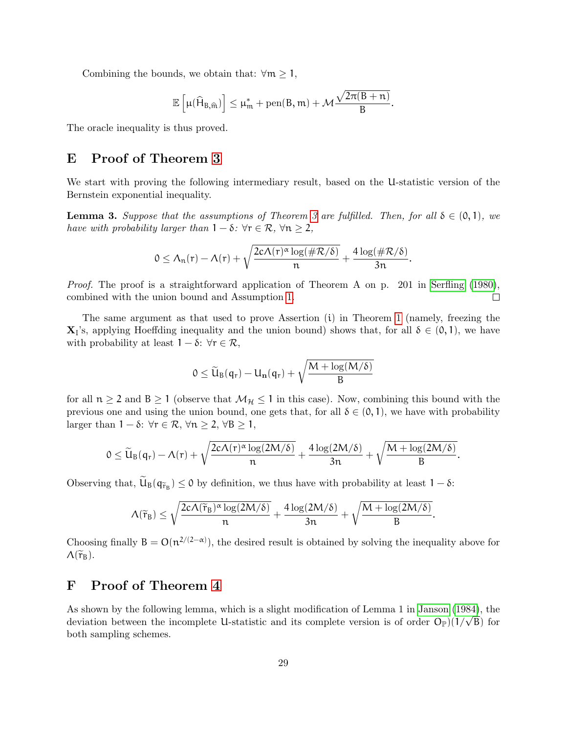Combining the bounds, we obtain that:  $\forall m \geq 1$ ,

$$
\mathbb{E}\left[\mu(\widehat{H}_{B,\widehat{\mathfrak{m}}})\right] \leq \mu_{\mathfrak{m}}^* + \text{pen}(B,\mathfrak{m}) + \mathcal{M}\frac{\sqrt{2\pi(B+n)}}{B}.
$$

The oracle inequality is thus proved.

### E Proof of Theorem [3](#page-13-1)

We start with proving the following intermediary result, based on the U-statistic version of the Bernstein exponential inequality.

**Lemma [3](#page-13-1).** Suppose that the assumptions of Theorem 3 are fulfilled. Then, for all  $\delta \in (0,1)$ , we have with probability larger than  $1 - \delta$ :  $\forall r \in \mathcal{R}, \forall n \geq 2$ ,

$$
0\leq \Lambda_n(r)-\Lambda(r)+\sqrt{\frac{2c\Lambda(r)^\alpha\log(\#\mathcal{R}/\delta)}{n}}+\frac{4\log(\#\mathcal{R}/\delta)}{3n}.
$$

Proof. The proof is a straightforward application of Theorem A on p. 201 in [Serfling](#page-33-7) [\(1980\)](#page-33-7), combined with the union bound and Assumption [1.](#page-13-0)  $\Box$ 

The same argument as that used to prove Assertion (i) in Theorem [1](#page-9-0) (namely, freezing the  $\mathbf{X}_1$ 's, applying Hoeffding inequality and the union bound) shows that, for all  $\delta \in (0,1)$ , we have with probability at least  $1 - \delta$ :  $\forall r \in \mathcal{R}$ ,

$$
0\leq \widetilde{U}_B(q_r)-U_{\mathbf{n}}(q_r)+\sqrt{\frac{M+\log(M/\delta)}{B}}
$$

for all  $n \ge 2$  and  $B \ge 1$  (observe that  $\mathcal{M}_{\mathcal{H}} \le 1$  in this case). Now, combining this bound with the previous one and using the union bound, one gets that, for all  $\delta \in (0, 1)$ , we have with probability larger than  $1 - \delta$ :  $\forall r \in \mathcal{R}, \forall n \geq 2, \forall B \geq 1$ ,

$$
0\leq \widetilde{U}_B(q_r)-\Lambda(r)+\sqrt{\frac{2c\Lambda(r)^\alpha\log(2M/\delta)}{n}}+\frac{4\log(2M/\delta)}{3n}+\sqrt{\frac{M+\log(2M/\delta)}{B}}.
$$

Observing that,  $U_{B}(q_{\tilde{\tau}_{B}}) \leq 0$  by definition, we thus have with probability at least  $1 - \delta$ :

$$
\Lambda(\widetilde{r}_B) \leq \sqrt{\frac{2c\Lambda(\widetilde{r}_B)^\alpha\log(2M/\delta)}{n}} + \frac{4\log(2M/\delta)}{3n} + \sqrt{\frac{M+\log(2M/\delta)}{B}}.
$$

Choosing finally  $B = O(n^{2/(2-\alpha)})$ , the desired result is obtained by solving the inequality above for  $\Lambda(\widetilde{r}_{B}).$ 

### F Proof of Theorem [4](#page-15-1)

As shown by the following lemma, which is a slight modification of Lemma 1 in [Janson](#page-32-7) [\(1984\)](#page-32-7), the As snown by the following lemma, which is a slight modification of Lemma 1 in Janson (1984), the deviation between the incomplete U-statistic and its complete version is of order  $O_{\mathbb{P}}(1/\sqrt{B})$  for both sampling schemes.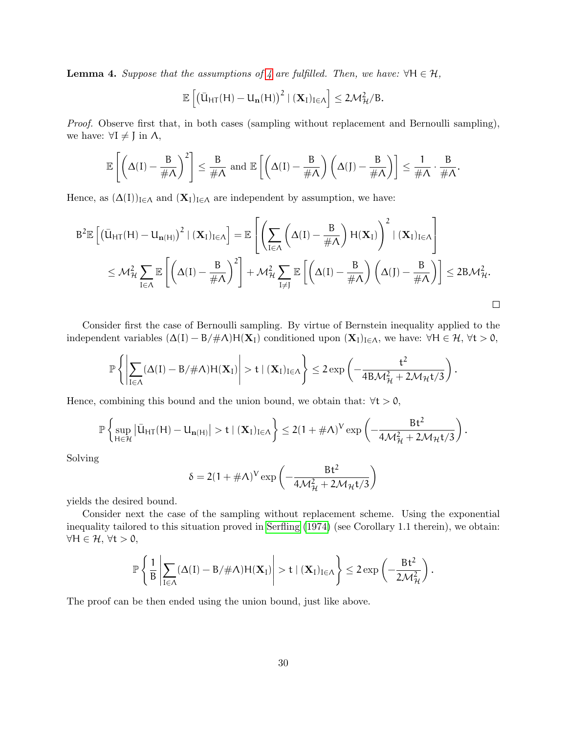**Lemma [4](#page-15-1).** Suppose that the assumptions of 4 are fulfilled. Then, we have:  $\forall H \in \mathcal{H}$ ,

$$
\mathbb{E}\left[\left(\bar{U}_{\mathsf{HT}}(\mathsf{H})-U_{\mathbf{n}}(\mathsf{H})\right)^2 \mid (\mathbf{X}_{\mathrm{I}})_{\mathrm{I}\in\Lambda}\right] \leq 2\mathcal{M}^2_{\mathcal{H}}/B.
$$

Proof. Observe first that, in both cases (sampling without replacement and Bernoulli sampling), we have:  $\forall I \neq J$  in  $\Lambda$ ,

$$
\mathbb{E}\left[\left(\Delta(I) - \frac{B}{\#\Lambda}\right)^2\right] \leq \frac{B}{\#\Lambda} \text{ and } \mathbb{E}\left[\left(\Delta(I) - \frac{B}{\#\Lambda}\right)\left(\Delta(J) - \frac{B}{\#\Lambda}\right)\right] \leq \frac{1}{\#\Lambda} \cdot \frac{B}{\#\Lambda}.
$$

Hence, as  $(\Delta(I))_{I\in\Lambda}$  and  $(X_I)_{I\in\Lambda}$  are independent by assumption, we have:

$$
B^{2}\mathbb{E}\left[\left(\bar{U}_{H\mathsf{T}}(H)-U_{\mathbf{n}(H)}\right)^{2} \mid (\mathbf{X}_{I})_{I\in\Lambda}\right] = \mathbb{E}\left[\left(\sum_{I\in\Lambda}\left(\Delta(I)-\frac{B}{\#\Lambda}\right)H(\mathbf{X}_{I})\right)^{2} \mid (\mathbf{X}_{I})_{I\in\Lambda}\right] \\ \leq \mathcal{M}_{\mathcal{H}}^{2} \sum_{I\in\Lambda}\mathbb{E}\left[\left(\Delta(I)-\frac{B}{\#\Lambda}\right)^{2}\right] + \mathcal{M}_{\mathcal{H}}^{2} \sum_{I\neq J}\mathbb{E}\left[\left(\Delta(I)-\frac{B}{\#\Lambda}\right)\left(\Delta(J)-\frac{B}{\#\Lambda}\right)\right] \leq 2B\mathcal{M}_{\mathcal{H}}^{2}.
$$

Consider first the case of Bernoulli sampling. By virtue of Bernstein inequality applied to the independent variables  $(\Delta(I) - B/\# \Lambda)H(\mathbf{X}_I)$  conditioned upon  $(\mathbf{X}_I)_{I \in \Lambda}$ , we have:  $\forall H \in \mathcal{H}$ ,  $\forall t > 0$ ,

$$
\mathbb{P}\left\{\left|\sum_{I\in\Lambda}(\Delta(I)-B/\#\Lambda)H(\mathbf{X}_I)\right|>t\mid(\mathbf{X}_I)_{I\in\Lambda}\right\}\leq 2\exp\left(-\frac{t^2}{4B\mathcal{M}^2_{\mathcal{H}}+2\mathcal{M}_{\mathcal{H}}t/3}\right).
$$

Hence, combining this bound and the union bound, we obtain that:  $\forall t > 0$ ,

$$
\mathbb{P}\left\{\sup_{H\in\mathcal{H}}\left|\bar{U}_{HT}(H)-U_{\mathbf{n}(H)}\right|>t\mid(\mathbf{X}_I)_{I\in\Lambda}\right\}\leq 2(1+\#\Lambda)^V\exp\left(-\frac{Bt^2}{4\mathcal{M}_\mathcal{H}^2+2\mathcal{M}_\mathcal{H}t/3}\right).
$$

Solving

$$
\delta = 2(1 + \#\Lambda)^V \exp\left(-\frac{Bt^2}{4\mathcal{M}_{\mathcal{H}}^2 + 2\mathcal{M}_{\mathcal{H}}t/3}\right)
$$

yields the desired bound.

Consider next the case of the sampling without replacement scheme. Using the exponential inequality tailored to this situation proved in [Serfling](#page-33-8) [\(1974\)](#page-33-8) (see Corollary 1.1 therein), we obtain:  $\forall H \in \mathcal{H}, \forall t > 0,$ 

$$
\mathbb{P}\left\{\frac{1}{B}\left|\sum_{I\in\Lambda}(\Delta(I)-B/\#\Lambda)H(\mathbf{X}_I)\right|>t\mid(\mathbf{X}_I)_{I\in\Lambda}\right\}\leq 2\exp\left(-\frac{Bt^2}{2\mathcal{M}_\mathcal{H}^2}\right).
$$

The proof can be then ended using the union bound, just like above.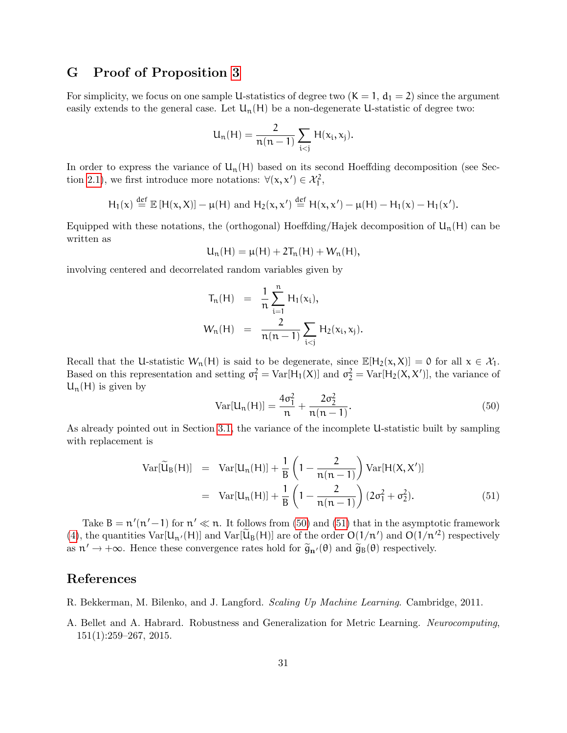## G Proof of Proposition [3](#page-17-3)

For simplicity, we focus on one sample U-statistics of degree two  $(K = 1, d_1 = 2)$  since the argument easily extends to the general case. Let  $U_n(H)$  be a non-degenerate U-statistic of degree two:

$$
U_n(H)=\frac{2}{n(n-1)}\sum_{i
$$

In order to express the variance of  $U_n(H)$  based on its second Hoeffding decomposition (see Sec-tion [2.1\)](#page-2-1), we first introduce more notations:  $\forall (x, x') \in \mathcal{X}_1^2$ ,

$$
H_1(x) \stackrel{\text{def}}{=} \mathbb{E}[H(x,X)] - \mu(H)
$$
 and  $H_2(x,x') \stackrel{\text{def}}{=} H(x,x') - \mu(H) - H_1(x) - H_1(x').$ 

Equipped with these notations, the (orthogonal) Hoeffding/Hajek decomposition of  $U_n(H)$  can be written as

$$
U_n(H) = \mu(H) + 2T_n(H) + W_n(H),
$$

involving centered and decorrelated random variables given by

$$
T_n(H) = \frac{1}{n} \sum_{i=1}^n H_1(x_i),
$$
  

$$
W_n(H) = \frac{2}{n(n-1)} \sum_{i < j} H_2(x_i, x_j).
$$

Recall that the U-statistic  $W_n(H)$  is said to be degenerate, since  $\mathbb{E}[H_2(x,X)] = 0$  for all  $x \in \mathcal{X}_1$ . Based on this representation and setting  $\sigma_1^2 = \text{Var}[H_1(X)]$  and  $\sigma_2^2 = \text{Var}[H_2(X, X')]$ , the variance of  $U_n(H)$  is given by

<span id="page-30-2"></span>
$$
Var[U_n(H)] = \frac{4\sigma_1^2}{n} + \frac{2\sigma_2^2}{n(n-1)}.
$$
\n(50)

As already pointed out in Section [3.1,](#page-7-1) the variance of the incomplete U-statistic built by sampling with replacement is

<span id="page-30-3"></span>
$$
Var[\widetilde{U}_{B}(H)] = Var[U_{n}(H)] + \frac{1}{B} \left( 1 - \frac{2}{n(n-1)} \right) Var[H(X, X')]
$$
  
= Var[U\_{n}(H)] + \frac{1}{B} \left( 1 - \frac{2}{n(n-1)} \right) (2\sigma\_{1}^{2} + \sigma\_{2}^{2}). (51)

Take  $B = n'(n'-1)$  for  $n' \ll n$ . It follows from [\(50\)](#page-30-2) and [\(51\)](#page-30-3) that in the asymptotic framework [\(4\)](#page-3-3), the quantities  $Var[\tilde{U}_n(\mathsf{H})]$  and  $Var[\tilde{U}_B(\mathsf{H})]$  are of the order  $O(1/n')$  and  $O(1/n^2)$  respectively as  $n' \to +\infty$ . Hence these convergence rates hold for  $\tilde{g}_{n'}(\theta)$  and  $\tilde{g}_{B}(\theta)$  respectively.

# References

- <span id="page-30-0"></span>R. Bekkerman, M. Bilenko, and J. Langford. Scaling Up Machine Learning. Cambridge, 2011.
- <span id="page-30-1"></span>A. Bellet and A. Habrard. Robustness and Generalization for Metric Learning. Neurocomputing, 151(1):259–267, 2015.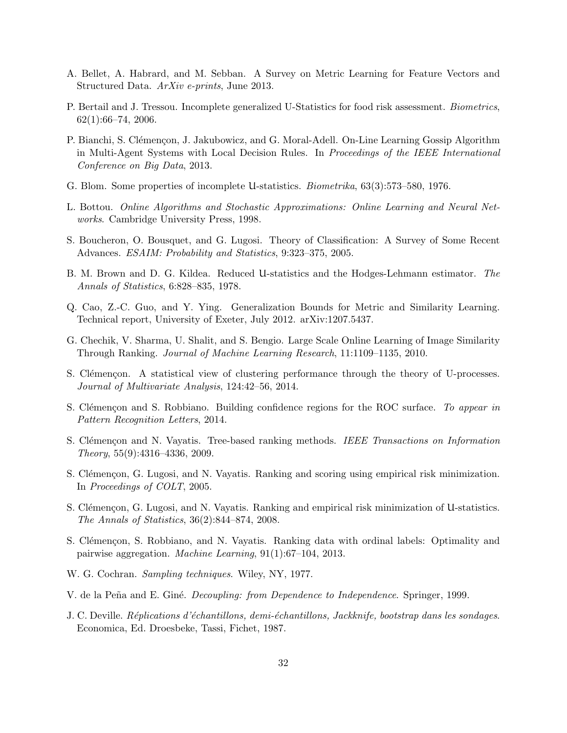- <span id="page-31-8"></span>A. Bellet, A. Habrard, and M. Sebban. A Survey on Metric Learning for Feature Vectors and Structured Data. ArXiv e-prints, June 2013.
- <span id="page-31-11"></span>P. Bertail and J. Tressou. Incomplete generalized U-Statistics for food risk assessment. *Biometrics*,  $62(1):66-74, 2006.$
- <span id="page-31-4"></span>P. Bianchi, S. Clémençon, J. Jakubowicz, and G. Moral-Adell. On-Line Learning Gossip Algorithm in Multi-Agent Systems with Local Decision Rules. In Proceedings of the IEEE International Conference on Big Data, 2013.
- <span id="page-31-5"></span>G. Blom. Some properties of incomplete U-statistics. Biometrika, 63(3):573–580, 1976.
- <span id="page-31-6"></span>L. Bottou. Online Algorithms and Stochastic Approximations: Online Learning and Neural Networks. Cambridge University Press, 1998.
- <span id="page-31-17"></span>S. Boucheron, O. Bousquet, and G. Lugosi. Theory of Classification: A Survey of Some Recent Advances. ESAIM: Probability and Statistics, 9:323–375, 2005.
- <span id="page-31-12"></span>B. M. Brown and D. G. Kildea. Reduced U-statistics and the Hodges-Lehmann estimator. The Annals of Statistics, 6:828–835, 1978.
- <span id="page-31-2"></span>Q. Cao, Z.-C. Guo, and Y. Ying. Generalization Bounds for Metric and Similarity Learning. Technical report, University of Exeter, July 2012. arXiv:1207.5437.
- <span id="page-31-16"></span>G. Chechik, V. Sharma, U. Shalit, and S. Bengio. Large Scale Online Learning of Image Similarity Through Ranking. Journal of Machine Learning Research, 11:1109–1135, 2010.
- <span id="page-31-1"></span>S. Clémençon. A statistical view of clustering performance through the theory of U-processes. Journal of Multivariate Analysis, 124:42–56, 2014.
- <span id="page-31-9"></span>S. Clémençon and S. Robbiano. Building confidence regions for the ROC surface. To appear in Pattern Recognition Letters, 2014.
- <span id="page-31-13"></span>S. Clémençon and N. Vayatis. Tree-based ranking methods. IEEE Transactions on Information Theory, 55(9):4316–4336, 2009.
- <span id="page-31-0"></span>S. Clémençon, G. Lugosi, and N. Vayatis. Ranking and scoring using empirical risk minimization. In Proceedings of COLT, 2005.
- <span id="page-31-3"></span>S. Clémençon, G. Lugosi, and N. Vayatis. Ranking and empirical risk minimization of U-statistics. The Annals of Statistics, 36(2):844–874, 2008.
- <span id="page-31-10"></span>S. Clémençon, S. Robbiano, and N. Vayatis. Ranking data with ordinal labels: Optimality and pairwise aggregation. Machine Learning, 91(1):67–104, 2013.
- <span id="page-31-14"></span>W. G. Cochran. Sampling techniques. Wiley, NY, 1977.
- <span id="page-31-7"></span>V. de la Peña and E. Giné. *Decoupling: from Dependence to Independence*. Springer, 1999.
- <span id="page-31-15"></span>J. C. Deville. Réplications d'échantillons, demi-échantillons, Jackknife, bootstrap dans les sondages. Economica, Ed. Droesbeke, Tassi, Fichet, 1987.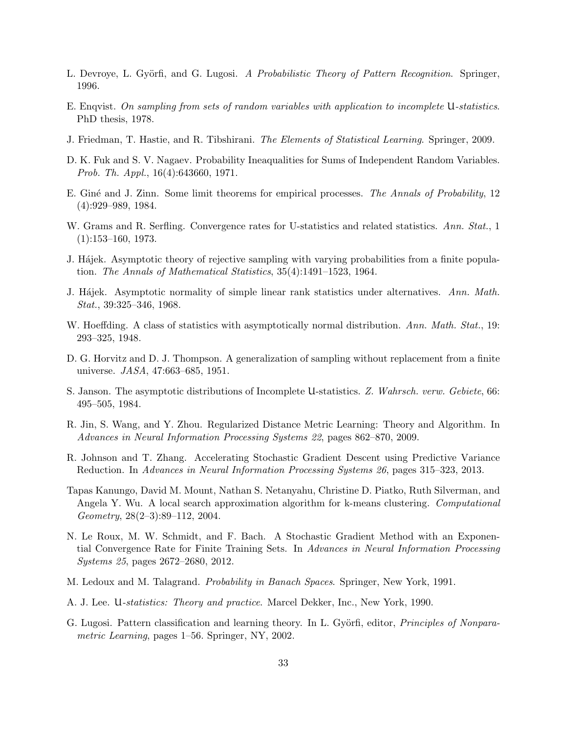- <span id="page-32-0"></span>L. Devroye, L. Györfi, and G. Lugosi. A Probabilistic Theory of Pattern Recognition. Springer, 1996.
- <span id="page-32-8"></span>E. Enqvist. On sampling from sets of random variables with application to incomplete U-statistics. PhD thesis, 1978.
- <span id="page-32-4"></span>J. Friedman, T. Hastie, and R. Tibshirani. The Elements of Statistical Learning. Springer, 2009.
- <span id="page-32-6"></span>D. K. Fuk and S. V. Nagaev. Probability Ineaqualities for Sums of Independent Random Variables. Prob. Th. Appl., 16(4):643660, 1971.
- <span id="page-32-16"></span>E. Giné and J. Zinn. Some limit theorems for empirical processes. The Annals of Probability, 12 (4):929–989, 1984.
- <span id="page-32-10"></span>W. Grams and R. Serfling. Convergence rates for U-statistics and related statistics. Ann. Stat., 1 (1):153–160, 1973.
- <span id="page-32-11"></span>J. Hájek. Asymptotic theory of rejective sampling with varying probabilities from a finite population. The Annals of Mathematical Statistics, 35(4):1491–1523, 1964.
- <span id="page-32-9"></span>J. Hajek. Asymptotic normality of simple linear rank statistics under alternatives. Ann. Math. Stat., 39:325–346, 1968.
- <span id="page-32-3"></span>W. Hoeffding. A class of statistics with asymptotically normal distribution. Ann. Math. Stat., 19: 293–325, 1948.
- <span id="page-32-12"></span>D. G. Horvitz and D. J. Thompson. A generalization of sampling without replacement from a finite universe. JASA, 47:663–685, 1951.
- <span id="page-32-7"></span>S. Janson. The asymptotic distributions of Incomplete U-statistics. Z. Wahrsch. verw. Gebiete, 66: 495–505, 1984.
- <span id="page-32-5"></span>R. Jin, S. Wang, and Y. Zhou. Regularized Distance Metric Learning: Theory and Algorithm. In Advances in Neural Information Processing Systems 22, pages 862–870, 2009.
- <span id="page-32-14"></span>R. Johnson and T. Zhang. Accelerating Stochastic Gradient Descent using Predictive Variance Reduction. In Advances in Neural Information Processing Systems 26, pages 315–323, 2013.
- <span id="page-32-15"></span>Tapas Kanungo, David M. Mount, Nathan S. Netanyahu, Christine D. Piatko, Ruth Silverman, and Angela Y. Wu. A local search approximation algorithm for k-means clustering. Computational Geometry, 28(2–3):89–112, 2004.
- <span id="page-32-13"></span>N. Le Roux, M. W. Schmidt, and F. Bach. A Stochastic Gradient Method with an Exponential Convergence Rate for Finite Training Sets. In Advances in Neural Information Processing Systems 25, pages 2672–2680, 2012.
- <span id="page-32-1"></span>M. Ledoux and M. Talagrand. Probability in Banach Spaces. Springer, New York, 1991.
- <span id="page-32-2"></span>A. J. Lee. U-statistics: Theory and practice. Marcel Dekker, Inc., New York, 1990.
- <span id="page-32-17"></span>G. Lugosi. Pattern classification and learning theory. In L. Györfi, editor, *Principles of Nonpara*metric Learning, pages 1–56. Springer, NY, 2002.